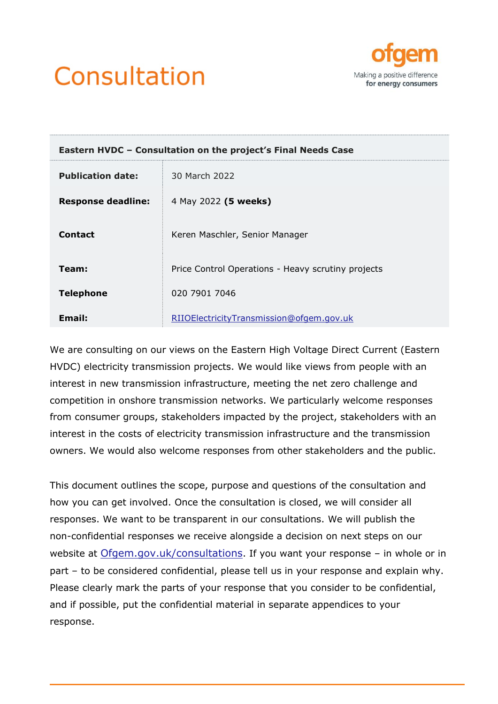



| Eastern HVDC - Consultation on the project's Final Needs Case |                                                    |  |  |
|---------------------------------------------------------------|----------------------------------------------------|--|--|
| <b>Publication date:</b>                                      | 30 March 2022                                      |  |  |
| <b>Response deadline:</b>                                     | 4 May 2022 (5 weeks)                               |  |  |
| <b>Contact</b>                                                | Keren Maschler, Senior Manager                     |  |  |
| Team:                                                         | Price Control Operations - Heavy scrutiny projects |  |  |
| <b>Telephone</b>                                              | 020 7901 7046                                      |  |  |
| Email:                                                        | RIIOElectricityTransmission@ofgem.gov.uk           |  |  |

We are consulting on our views on the Eastern High Voltage Direct Current (Eastern HVDC) electricity transmission projects. We would like views from people with an interest in new transmission infrastructure, meeting the net zero challenge and competition in onshore transmission networks. We particularly welcome responses from consumer groups, stakeholders impacted by the project, stakeholders with an interest in the costs of electricity transmission infrastructure and the transmission owners. We would also welcome responses from other stakeholders and the public.

This document outlines the scope, purpose and questions of the consultation and how you can get involved. Once the consultation is closed, we will consider all responses. We want to be transparent in our consultations. We will publish the non-confidential responses we receive alongside a decision on next steps on our website at [Ofgem.gov.uk/consultations](https://www.ofgem.gov.uk/consultations). If you want your response – in whole or in part – to be considered confidential, please tell us in your response and explain why. Please clearly mark the parts of your response that you consider to be confidential, and if possible, put the confidential material in separate appendices to your response.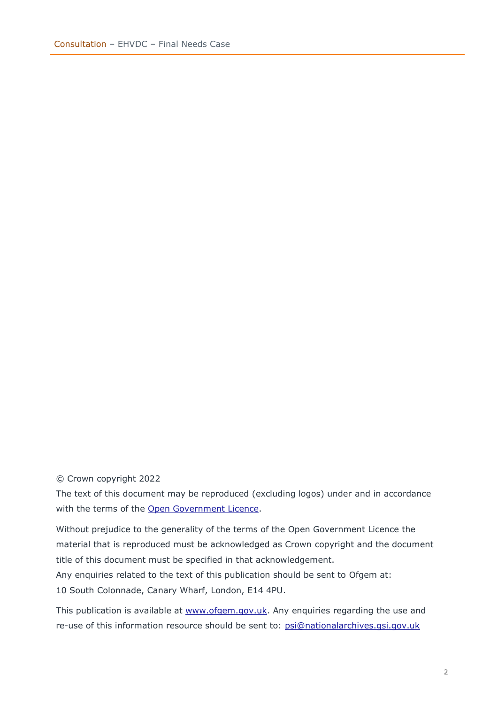#### © Crown copyright 2022

The text of this document may be reproduced (excluding logos) under and in accordance with the terms of the [Open Government Licence.](http://www.nationalarchives.gov.uk/doc/open-government-licence/version/3/)

Without prejudice to the generality of the terms of the Open Government Licence the material that is reproduced must be acknowledged as Crown copyright and the document title of this document must be specified in that acknowledgement. Any enquiries related to the text of this publication should be sent to Ofgem at: 10 South Colonnade, Canary Wharf, London, E14 4PU.

This publication is available at [www.ofgem.gov.uk.](http://www.ofgem.gov.uk/) Any enquiries regarding the use and re-use of this information resource should be sent to: [psi@nationalarchives.gsi.gov.uk](mailto:psi@nationalarchives.gsi.gov.uk)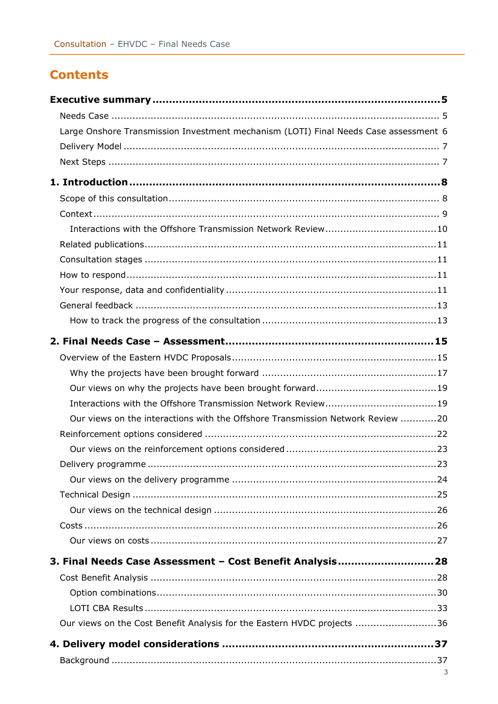# **Contents**

| Large Onshore Transmission Investment mechanism (LOTI) Final Needs Case assessment 6 |   |
|--------------------------------------------------------------------------------------|---|
|                                                                                      |   |
|                                                                                      |   |
|                                                                                      |   |
|                                                                                      |   |
|                                                                                      |   |
|                                                                                      |   |
|                                                                                      |   |
|                                                                                      |   |
|                                                                                      |   |
|                                                                                      |   |
|                                                                                      |   |
|                                                                                      |   |
|                                                                                      |   |
|                                                                                      |   |
|                                                                                      |   |
|                                                                                      |   |
|                                                                                      |   |
| Our views on the interactions with the Offshore Transmission Network Review 20       |   |
|                                                                                      |   |
|                                                                                      |   |
|                                                                                      |   |
|                                                                                      |   |
|                                                                                      |   |
|                                                                                      |   |
|                                                                                      |   |
|                                                                                      |   |
|                                                                                      |   |
| 3. Final Needs Case Assessment - Cost Benefit Analysis28                             |   |
|                                                                                      |   |
|                                                                                      |   |
|                                                                                      |   |
| Our views on the Cost Benefit Analysis for the Eastern HVDC projects 36              |   |
|                                                                                      |   |
|                                                                                      |   |
|                                                                                      | 3 |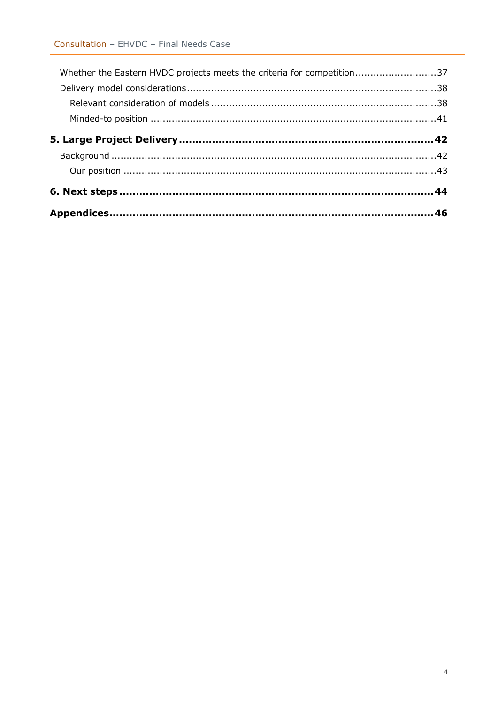| Whether the Eastern HVDC projects meets the criteria for competition37 |  |
|------------------------------------------------------------------------|--|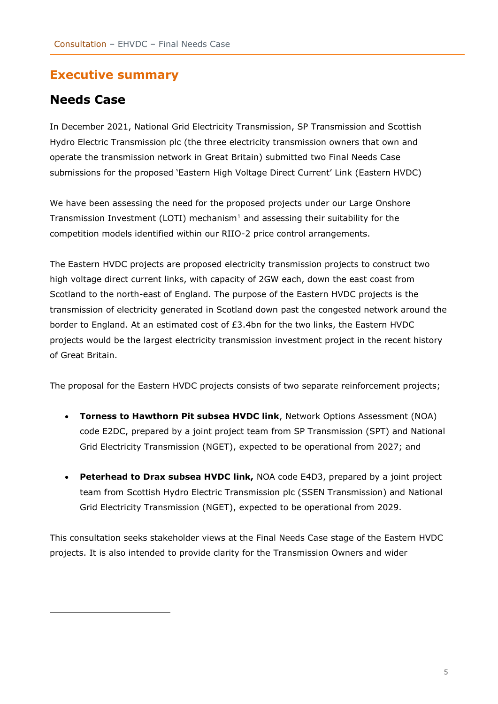## <span id="page-4-0"></span>**Executive summary**

## <span id="page-4-1"></span>**Needs Case**

In December 2021, National Grid Electricity Transmission, SP Transmission and Scottish Hydro Electric Transmission plc (the three electricity transmission owners that own and operate the transmission network in Great Britain) submitted two Final Needs Case submissions for the proposed 'Eastern High Voltage Direct Current' Link (Eastern HVDC)

We have been assessing the need for the proposed projects under our Large Onshore Transmission Investment (LOTI) mechanism<sup>1</sup> and assessing their suitability for the competition models identified within our RIIO-2 price control arrangements.

The Eastern HVDC projects are proposed electricity transmission projects to construct two high voltage direct current links, with capacity of 2GW each, down the east coast from Scotland to the north-east of England. The purpose of the Eastern HVDC projects is the transmission of electricity generated in Scotland down past the congested network around the border to England. At an estimated cost of £3.4bn for the two links, the Eastern HVDC projects would be the largest electricity transmission investment project in the recent history of Great Britain.

The proposal for the Eastern HVDC projects consists of two separate reinforcement projects;

- **Torness to Hawthorn Pit subsea HVDC link**, Network Options Assessment (NOA) code E2DC, prepared by a joint project team from SP Transmission (SPT) and National Grid Electricity Transmission (NGET), expected to be operational from 2027; and
- **Peterhead to Drax subsea HVDC link,** NOA code E4D3, prepared by a joint project team from Scottish Hydro Electric Transmission plc (SSEN Transmission) and National Grid Electricity Transmission (NGET), expected to be operational from 2029.

This consultation seeks stakeholder views at the Final Needs Case stage of the Eastern HVDC projects. It is also intended to provide clarity for the Transmission Owners and wider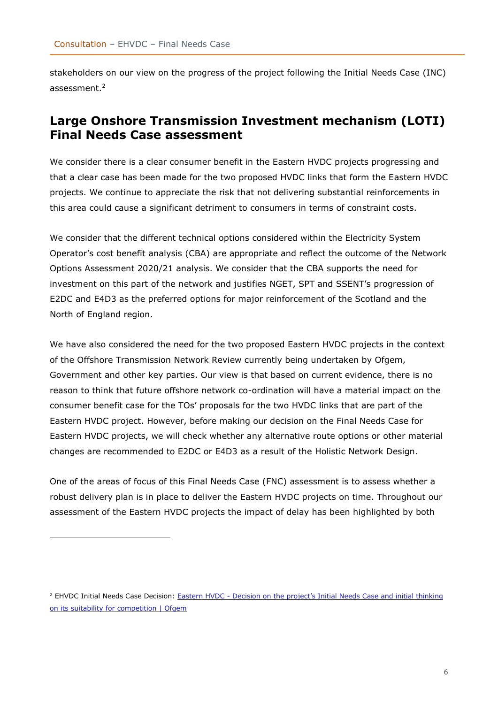stakeholders on our view on the progress of the project following the Initial Needs Case (INC) assessment. 2

## <span id="page-5-0"></span>**Large Onshore Transmission Investment mechanism (LOTI) Final Needs Case assessment**

We consider there is a clear consumer benefit in the Eastern HVDC projects progressing and that a clear case has been made for the two proposed HVDC links that form the Eastern HVDC projects. We continue to appreciate the risk that not delivering substantial reinforcements in this area could cause a significant detriment to consumers in terms of constraint costs.

We consider that the different technical options considered within the Electricity System Operator's cost benefit analysis (CBA) are appropriate and reflect the outcome of the Network Options Assessment 2020/21 analysis. We consider that the CBA supports the need for investment on this part of the network and justifies NGET, SPT and SSENT's progression of E2DC and E4D3 as the preferred options for major reinforcement of the Scotland and the North of England region.

We have also considered the need for the two proposed Eastern HVDC projects in the context of the Offshore Transmission Network Review currently being undertaken by Ofgem, Government and other key parties. Our view is that based on current evidence, there is no reason to think that future offshore network co-ordination will have a material impact on the consumer benefit case for the TOs' proposals for the two HVDC links that are part of the Eastern HVDC project. However, before making our decision on the Final Needs Case for Eastern HVDC projects, we will check whether any alternative route options or other material changes are recommended to E2DC or E4D3 as a result of the Holistic Network Design.

One of the areas of focus of this Final Needs Case (FNC) assessment is to assess whether a robust delivery plan is in place to deliver the Eastern HVDC projects on time. Throughout our assessment of the Eastern HVDC projects the impact of delay has been highlighted by both

<sup>&</sup>lt;sup>2</sup> EHVDC Initial Needs Case Decision: Eastern HVDC - Decision on the project's Initial Needs Case and initial thinking [on its suitability for competition | Ofgem](https://www.ofgem.gov.uk/publications/eastern-hvdc-decision-projects-initial-needs-case-and-initial-thinking-its-suitability-competition)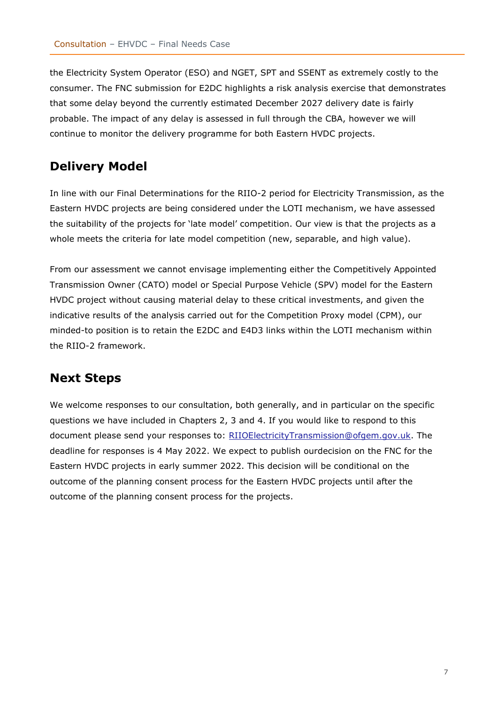the Electricity System Operator (ESO) and NGET, SPT and SSENT as extremely costly to the consumer. The FNC submission for E2DC highlights a risk analysis exercise that demonstrates that some delay beyond the currently estimated December 2027 delivery date is fairly probable. The impact of any delay is assessed in full through the CBA, however we will continue to monitor the delivery programme for both Eastern HVDC projects.

## <span id="page-6-0"></span>**Delivery Model**

In line with our Final Determinations for the RIIO-2 period for Electricity Transmission, as the Eastern HVDC projects are being considered under the LOTI mechanism, we have assessed the suitability of the projects for 'late model' competition. Our view is that the projects as a whole meets the criteria for late model competition (new, separable, and high value).

From our assessment we cannot envisage implementing either the Competitively Appointed Transmission Owner (CATO) model or Special Purpose Vehicle (SPV) model for the Eastern HVDC project without causing material delay to these critical investments, and given the indicative results of the analysis carried out for the Competition Proxy model (CPM), our minded-to position is to retain the E2DC and E4D3 links within the LOTI mechanism within the RIIO-2 framework.

## <span id="page-6-1"></span>**Next Steps**

We welcome responses to our consultation, both generally, and in particular on the specific questions we have included in Chapters 2, 3 and 4. If you would like to respond to this document please send your responses to: [RIIOElectricityTransmission@ofgem.gov.uk.](mailto:RIIOElectricityTransmission@ofgem.gov.uk) The deadline for responses is 4 May 2022. We expect to publish ourdecision on the FNC for the Eastern HVDC projects in early summer 2022. This decision will be conditional on the outcome of the planning consent process for the Eastern HVDC projects until after the outcome of the planning consent process for the projects.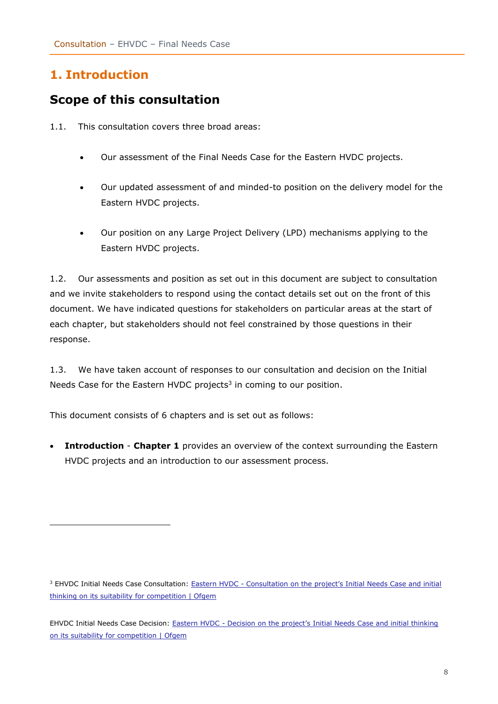# <span id="page-7-0"></span>**1. Introduction**

# <span id="page-7-1"></span>**Scope of this consultation**

- 1.1. This consultation covers three broad areas:
	- Our assessment of the Final Needs Case for the Eastern HVDC projects.
	- Our updated assessment of and minded-to position on the delivery model for the Eastern HVDC projects.
	- Our position on any Large Project Delivery (LPD) mechanisms applying to the Eastern HVDC projects.

1.2. Our assessments and position as set out in this document are subject to consultation and we invite stakeholders to respond using the contact details set out on the front of this document. We have indicated questions for stakeholders on particular areas at the start of each chapter, but stakeholders should not feel constrained by those questions in their response.

1.3. We have taken account of responses to our consultation and decision on the Initial Needs Case for the Eastern HVDC projects<sup>3</sup> in coming to our position.

This document consists of 6 chapters and is set out as follows:

• **Introduction** - **Chapter 1** provides an overview of the context surrounding the Eastern HVDC projects and an introduction to our assessment process.

<sup>&</sup>lt;sup>3</sup> EHVDC Initial Needs Case Consultation: Eastern HVDC - Consultation on the project's Initial Needs Case and initial [thinking on its suitability for competition | Ofgem](https://www.ofgem.gov.uk/publications/eastern-hvdc-consultation-projects-initial-needs-case-and-initial-thinking-its-suitability-competition)

EHVDC Initial Needs Case Decision: Eastern HVDC - Decision on the project's [Initial Needs Case and initial thinking](https://www.ofgem.gov.uk/publications/eastern-hvdc-decision-projects-initial-needs-case-and-initial-thinking-its-suitability-competition)  [on its suitability for competition | Ofgem](https://www.ofgem.gov.uk/publications/eastern-hvdc-decision-projects-initial-needs-case-and-initial-thinking-its-suitability-competition)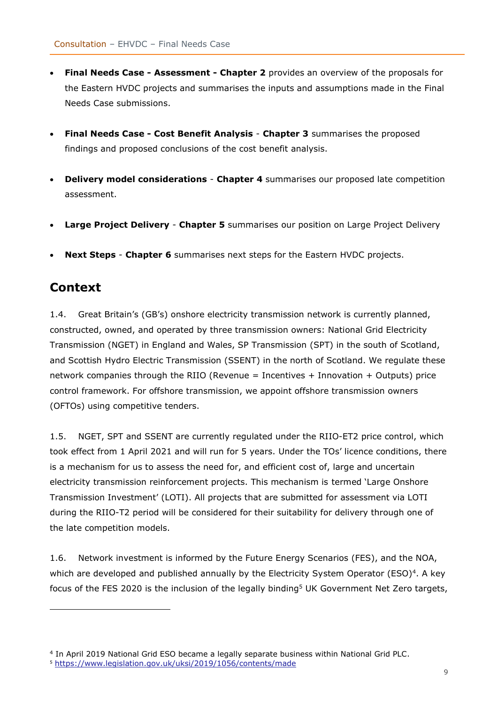- **Final Needs Case - Assessment - Chapter 2** provides an overview of the proposals for the Eastern HVDC projects and summarises the inputs and assumptions made in the Final Needs Case submissions.
- **Final Needs Case - Cost Benefit Analysis Chapter 3** summarises the proposed findings and proposed conclusions of the cost benefit analysis.
- **Delivery model considerations Chapter 4** summarises our proposed late competition assessment.
- **Large Project Delivery Chapter 5** summarises our position on Large Project Delivery
- **Next Steps Chapter 6** summarises next steps for the Eastern HVDC projects.

## <span id="page-8-0"></span>**Context**

1.4. Great Britain's (GB's) onshore electricity transmission network is currently planned, constructed, owned, and operated by three transmission owners: National Grid Electricity Transmission (NGET) in England and Wales, SP Transmission (SPT) in the south of Scotland, and Scottish Hydro Electric Transmission (SSENT) in the north of Scotland. We regulate these network companies through the RIIO (Revenue = Incentives + Innovation + Outputs) price control framework. For offshore transmission, we appoint offshore transmission owners (OFTOs) using competitive tenders.

1.5. NGET, SPT and SSENT are currently regulated under the RIIO-ET2 price control, which took effect from 1 April 2021 and will run for 5 years. Under the TOs' licence conditions, there is a mechanism for us to assess the need for, and efficient cost of, large and uncertain electricity transmission reinforcement projects. This mechanism is termed 'Large Onshore Transmission Investment' (LOTI). All projects that are submitted for assessment via LOTI during the RIIO-T2 period will be considered for their suitability for delivery through one of the late competition models.

1.6. Network investment is informed by the Future Energy Scenarios (FES), and the NOA, which are developed and published annually by the Electricity System Operator (ESO)<sup>4</sup>. A key focus of the FES 2020 is the inclusion of the legally binding<sup>5</sup> UK Government Net Zero targets,

<sup>4</sup> In April 2019 National Grid ESO became a legally separate business within National Grid PLC.

<sup>5</sup> <https://www.legislation.gov.uk/uksi/2019/1056/contents/made>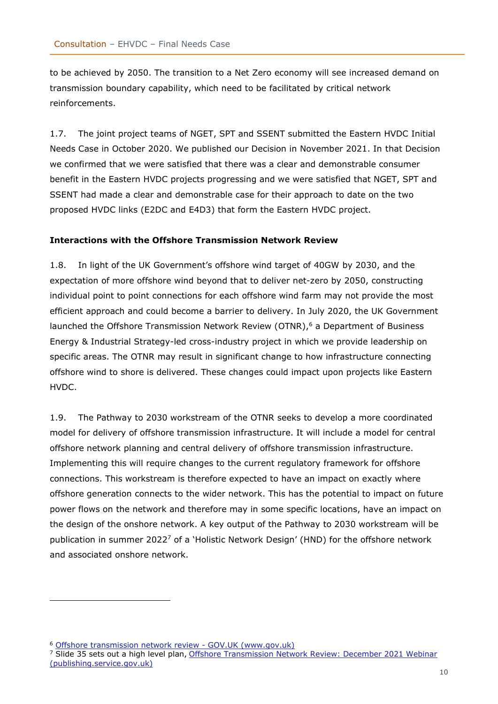to be achieved by 2050. The transition to a Net Zero economy will see increased demand on transmission boundary capability, which need to be facilitated by critical network reinforcements.

1.7. The joint project teams of NGET, SPT and SSENT submitted the Eastern HVDC Initial Needs Case in October 2020. We published our Decision in November 2021. In that Decision we confirmed that we were satisfied that there was a clear and demonstrable consumer benefit in the Eastern HVDC projects progressing and we were satisfied that NGET, SPT and SSENT had made a clear and demonstrable case for their approach to date on the two proposed HVDC links (E2DC and E4D3) that form the Eastern HVDC project.

#### <span id="page-9-0"></span>**Interactions with the Offshore Transmission Network Review**

1.8. In light of the UK Government's offshore wind target of 40GW by 2030, and the expectation of more offshore wind beyond that to deliver net-zero by 2050, constructing individual point to point connections for each offshore wind farm may not provide the most efficient approach and could become a barrier to delivery. In July 2020, the UK Government launched the Offshore Transmission Network Review (OTNR),<sup>6</sup> a Department of Business Energy & Industrial Strategy-led cross-industry project in which we provide leadership on specific areas. The OTNR may result in significant change to how infrastructure connecting offshore wind to shore is delivered. These changes could impact upon projects like Eastern HVDC.

1.9. The Pathway to 2030 workstream of the OTNR seeks to develop a more coordinated model for delivery of offshore transmission infrastructure. It will include a model for central offshore network planning and central delivery of offshore transmission infrastructure. Implementing this will require changes to the current regulatory framework for offshore connections. This workstream is therefore expected to have an impact on exactly where offshore generation connects to the wider network. This has the potential to impact on future power flows on the network and therefore may in some specific locations, have an impact on the design of the onshore network. A key output of the Pathway to 2030 workstream will be publication in summer 2022<sup>7</sup> of a 'Holistic Network Design' (HND) for the offshore network and associated onshore network.

<sup>6</sup> [Offshore transmission network review -](https://www.gov.uk/government/publications/offshore-transmission-network-review) GOV.UK (www.gov.uk)

<sup>7</sup> Slide 35 sets out a high level plan, [Offshore Transmission Network Review: December 2021 Webinar](https://assets.publishing.service.gov.uk/government/uploads/system/uploads/attachment_data/file/1052212/otnr-webinar-presentation-jan-2022.pdf)  [\(publishing.service.gov.uk\)](https://assets.publishing.service.gov.uk/government/uploads/system/uploads/attachment_data/file/1052212/otnr-webinar-presentation-jan-2022.pdf)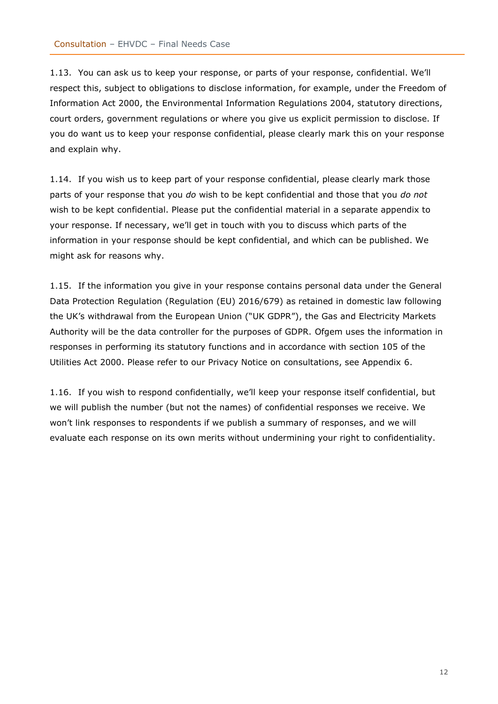1.13. You can ask us to keep your response, or parts of your response, confidential. We'll respect this, subject to obligations to disclose information, for example, under the Freedom of Information Act 2000, the Environmental Information Regulations 2004, statutory directions, court orders, government regulations or where you give us explicit permission to disclose. If you do want us to keep your response confidential, please clearly mark this on your response and explain why.

1.14. If you wish us to keep part of your response confidential, please clearly mark those parts of your response that you *do* wish to be kept confidential and those that you *do not* wish to be kept confidential. Please put the confidential material in a separate appendix to your response. If necessary, we'll get in touch with you to discuss which parts of the information in your response should be kept confidential, and which can be published. We might ask for reasons why.

1.15. If the information you give in your response contains personal data under the General Data Protection Regulation (Regulation (EU) 2016/679) as retained in domestic law following the UK's withdrawal from the European Union ("UK GDPR"), the Gas and Electricity Markets Authority will be the data controller for the purposes of GDPR. Ofgem uses the information in responses in performing its statutory functions and in accordance with section 105 of the Utilities Act 2000. Please refer to our Privacy Notice on consultations, see Appendix 6.

1.16. If you wish to respond confidentially, we'll keep your response itself confidential, but we will publish the number (but not the names) of confidential responses we receive. We won't link responses to respondents if we publish a summary of responses, and we will evaluate each response on its own merits without undermining your right to confidentiality.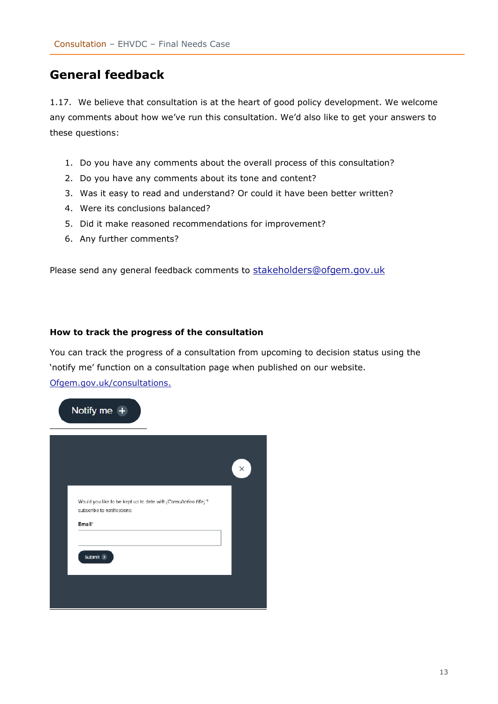## <span id="page-12-0"></span>**General feedback**

1.17. We believe that consultation is at the heart of good policy development. We welcome any comments about how we've run this consultation. We'd also like to get your answers to these questions:

- 1. Do you have any comments about the overall process of this consultation?
- 2. Do you have any comments about its tone and content?
- 3. Was it easy to read and understand? Or could it have been better written?
- 4. Were its conclusions balanced?
- 5. Did it make reasoned recommendations for improvement?
- 6. Any further comments?

Please send any general feedback comments to [stakeholders@ofgem.gov.uk](mailto:stakeholders@ofgem.gov.uk)

#### <span id="page-12-1"></span>**How to track the progress of the consultation**

You can track the progress of a consultation from upcoming to decision status using the 'notify me' function on a consultation page when published on our website. [Ofgem.gov.uk/consultations.](http://www.ofgem.gov.uk/consultations)

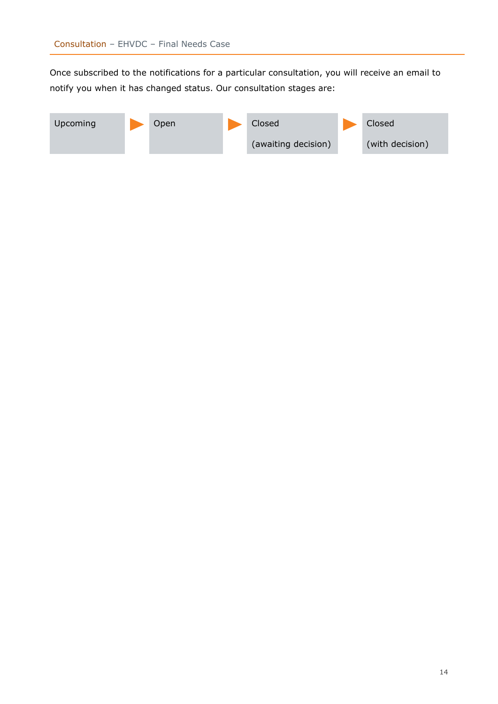Once subscribed to the notifications for a particular consultation, you will receive an email to notify you when it has changed status. Our consultation stages are:

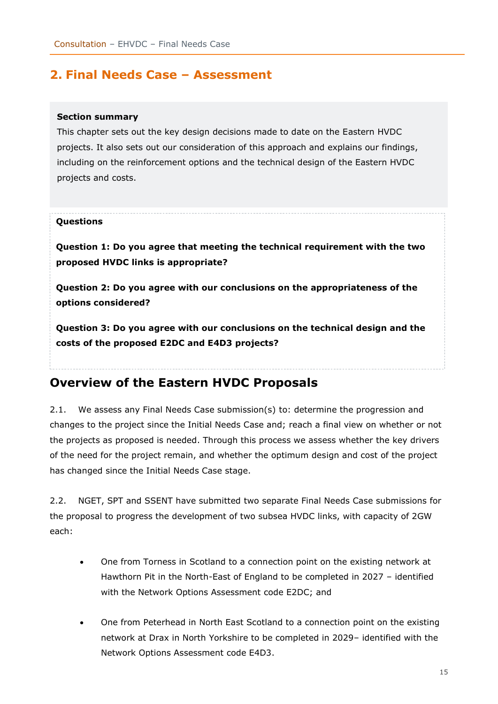## <span id="page-14-0"></span>**2. Final Needs Case – Assessment**

#### **Section summary**

This chapter sets out the key design decisions made to date on the Eastern HVDC projects. It also sets out our consideration of this approach and explains our findings, including on the reinforcement options and the technical design of the Eastern HVDC projects and costs.

#### **Questions**

**Question 1: Do you agree that meeting the technical requirement with the two proposed HVDC links is appropriate?**

**Question 2: Do you agree with our conclusions on the appropriateness of the options considered?**

**Question 3: Do you agree with our conclusions on the technical design and the costs of the proposed E2DC and E4D3 projects?**

## <span id="page-14-1"></span>**Overview of the Eastern HVDC Proposals**

2.1. We assess any Final Needs Case submission(s) to: determine the progression and changes to the project since the Initial Needs Case and; reach a final view on whether or not the projects as proposed is needed. Through this process we assess whether the key drivers of the need for the project remain, and whether the optimum design and cost of the project has changed since the Initial Needs Case stage.

2.2. NGET, SPT and SSENT have submitted two separate Final Needs Case submissions for the proposal to progress the development of two subsea HVDC links, with capacity of 2GW each:

- One from Torness in Scotland to a connection point on the existing network at Hawthorn Pit in the North-East of England to be completed in 2027 – identified with the Network Options Assessment code E2DC; and
- One from Peterhead in North East Scotland to a connection point on the existing network at Drax in North Yorkshire to be completed in 2029– identified with the Network Options Assessment code E4D3.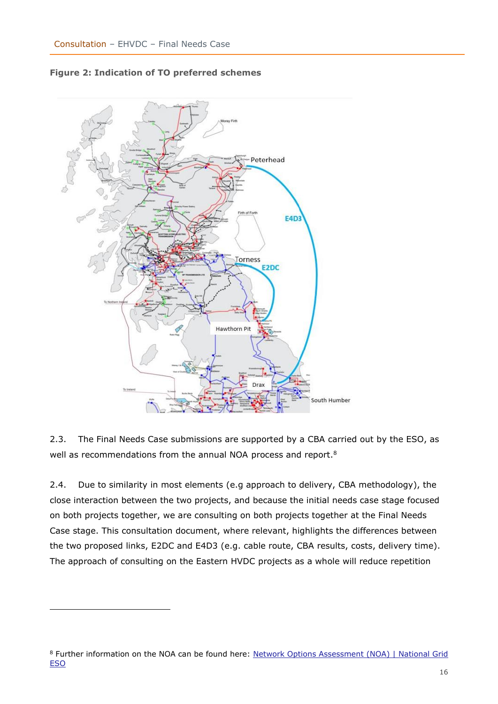

**Figure 2: Indication of TO preferred schemes**

2.3. The Final Needs Case submissions are supported by a CBA carried out by the ESO, as well as recommendations from the annual NOA process and report.<sup>8</sup>

2.4. Due to similarity in most elements (e.g approach to delivery, CBA methodology), the close interaction between the two projects, and because the initial needs case stage focused on both projects together, we are consulting on both projects together at the Final Needs Case stage. This consultation document, where relevant, highlights the differences between the two proposed links, E2DC and E4D3 (e.g. cable route, CBA results, costs, delivery time). The approach of consulting on the Eastern HVDC projects as a whole will reduce repetition

<sup>8</sup> Further information on the NOA can be found here: Network Options Assessment (NOA) | National Grid [ESO](https://www.nationalgrideso.com/research-publications/network-options-assessment-noa)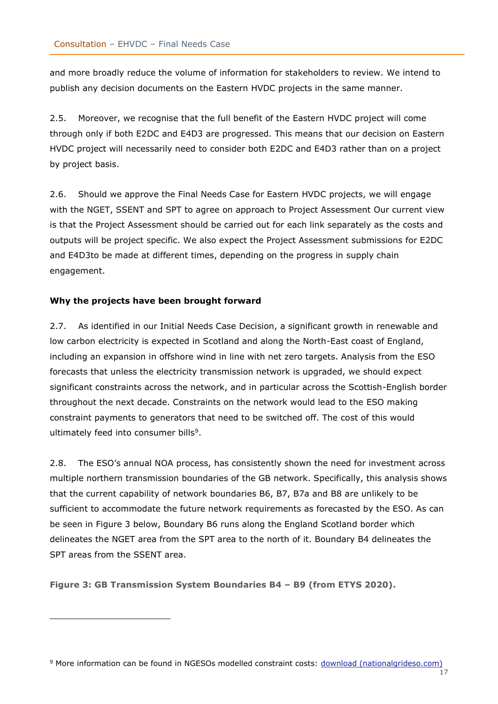and more broadly reduce the volume of information for stakeholders to review. We intend to publish any decision documents on the Eastern HVDC projects in the same manner.

2.5. Moreover, we recognise that the full benefit of the Eastern HVDC project will come through only if both E2DC and E4D3 are progressed. This means that our decision on Eastern HVDC project will necessarily need to consider both E2DC and E4D3 rather than on a project by project basis.

2.6. Should we approve the Final Needs Case for Eastern HVDC projects, we will engage with the NGET, SSENT and SPT to agree on approach to Project Assessment Our current view is that the Project Assessment should be carried out for each link separately as the costs and outputs will be project specific. We also expect the Project Assessment submissions for E2DC and E4D3to be made at different times, depending on the progress in supply chain engagement.

#### <span id="page-16-0"></span>**Why the projects have been brought forward**

2.7. As identified in our Initial Needs Case Decision, a significant growth in renewable and low carbon electricity is expected in Scotland and along the North-East coast of England, including an expansion in offshore wind in line with net zero targets. Analysis from the ESO forecasts that unless the electricity transmission network is upgraded, we should expect significant constraints across the network, and in particular across the Scottish-English border throughout the next decade. Constraints on the network would lead to the ESO making constraint payments to generators that need to be switched off. The cost of this would ultimately feed into consumer bills<sup>9</sup>.

2.8. The ESO's annual NOA process, has consistently shown the need for investment across multiple northern transmission boundaries of the GB network. Specifically, this analysis shows that the current capability of network boundaries B6, B7, B7a and B8 are unlikely to be sufficient to accommodate the future network requirements as forecasted by the ESO. As can be seen in Figure 3 below, Boundary B6 runs along the England Scotland border which delineates the NGET area from the SPT area to the north of it. Boundary B4 delineates the SPT areas from the SSENT area.

**Figure 3: GB Transmission System Boundaries B4 – B9 (from ETYS 2020).** 

17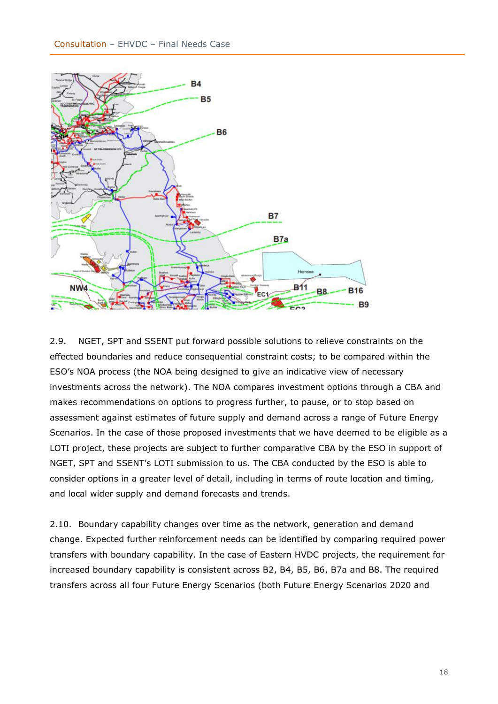

2.9. NGET, SPT and SSENT put forward possible solutions to relieve constraints on the effected boundaries and reduce consequential constraint costs; to be compared within the ESO's NOA process (the NOA being designed to give an indicative view of necessary investments across the network). The NOA compares investment options through a CBA and makes recommendations on options to progress further, to pause, or to stop based on assessment against estimates of future supply and demand across a range of Future Energy Scenarios. In the case of those proposed investments that we have deemed to be eligible as a LOTI project, these projects are subject to further comparative CBA by the ESO in support of NGET, SPT and SSENT's LOTI submission to us. The CBA conducted by the ESO is able to consider options in a greater level of detail, including in terms of route location and timing, and local wider supply and demand forecasts and trends.

2.10. Boundary capability changes over time as the network, generation and demand change. Expected further reinforcement needs can be identified by comparing required power transfers with boundary capability. In the case of Eastern HVDC projects, the requirement for increased boundary capability is consistent across B2, B4, B5, B6, B7a and B8. The required transfers across all four Future Energy Scenarios (both Future Energy Scenarios 2020 and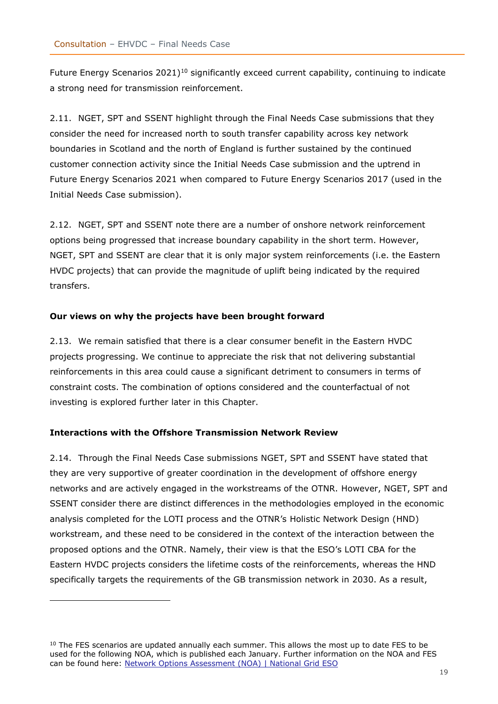Future Energy Scenarios 2021)<sup>10</sup> significantly exceed current capability, continuing to indicate a strong need for transmission reinforcement.

2.11. NGET, SPT and SSENT highlight through the Final Needs Case submissions that they consider the need for increased north to south transfer capability across key network boundaries in Scotland and the north of England is further sustained by the continued customer connection activity since the Initial Needs Case submission and the uptrend in Future Energy Scenarios 2021 when compared to Future Energy Scenarios 2017 (used in the Initial Needs Case submission).

2.12. NGET, SPT and SSENT note there are a number of onshore network reinforcement options being progressed that increase boundary capability in the short term. However, NGET, SPT and SSENT are clear that it is only major system reinforcements (i.e. the Eastern HVDC projects) that can provide the magnitude of uplift being indicated by the required transfers.

#### <span id="page-18-0"></span>**Our views on why the projects have been brought forward**

2.13. We remain satisfied that there is a clear consumer benefit in the Eastern HVDC projects progressing. We continue to appreciate the risk that not delivering substantial reinforcements in this area could cause a significant detriment to consumers in terms of constraint costs. The combination of options considered and the counterfactual of not investing is explored further later in this Chapter.

#### <span id="page-18-1"></span>**Interactions with the Offshore Transmission Network Review**

2.14. Through the Final Needs Case submissions NGET, SPT and SSENT have stated that they are very supportive of greater coordination in the development of offshore energy networks and are actively engaged in the workstreams of the OTNR. However, NGET, SPT and SSENT consider there are distinct differences in the methodologies employed in the economic analysis completed for the LOTI process and the OTNR's Holistic Network Design (HND) workstream, and these need to be considered in the context of the interaction between the proposed options and the OTNR. Namely, their view is that the ESO's LOTI CBA for the Eastern HVDC projects considers the lifetime costs of the reinforcements, whereas the HND specifically targets the requirements of the GB transmission network in 2030. As a result,

<sup>&</sup>lt;sup>10</sup> The FES scenarios are updated annually each summer. This allows the most up to date FES to be used for the following NOA, which is published each January. Further information on the NOA and FES can be found here: [Network Options Assessment \(NOA\) | National Grid ESO](https://www.nationalgrideso.com/research-publications/network-options-assessment-noa)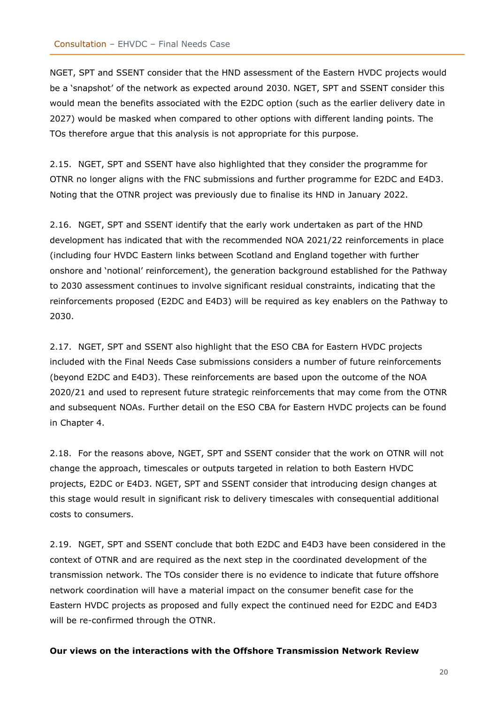NGET, SPT and SSENT consider that the HND assessment of the Eastern HVDC projects would be a 'snapshot' of the network as expected around 2030. NGET, SPT and SSENT consider this would mean the benefits associated with the E2DC option (such as the earlier delivery date in 2027) would be masked when compared to other options with different landing points. The TOs therefore argue that this analysis is not appropriate for this purpose.

2.15. NGET, SPT and SSENT have also highlighted that they consider the programme for OTNR no longer aligns with the FNC submissions and further programme for E2DC and E4D3. Noting that the OTNR project was previously due to finalise its HND in January 2022.

2.16. NGET, SPT and SSENT identify that the early work undertaken as part of the HND development has indicated that with the recommended NOA 2021/22 reinforcements in place (including four HVDC Eastern links between Scotland and England together with further onshore and 'notional' reinforcement), the generation background established for the Pathway to 2030 assessment continues to involve significant residual constraints, indicating that the reinforcements proposed (E2DC and E4D3) will be required as key enablers on the Pathway to 2030.

2.17. NGET, SPT and SSENT also highlight that the ESO CBA for Eastern HVDC projects included with the Final Needs Case submissions considers a number of future reinforcements (beyond E2DC and E4D3). These reinforcements are based upon the outcome of the NOA 2020/21 and used to represent future strategic reinforcements that may come from the OTNR and subsequent NOAs. Further detail on the ESO CBA for Eastern HVDC projects can be found in Chapter 4.

2.18. For the reasons above, NGET, SPT and SSENT consider that the work on OTNR will not change the approach, timescales or outputs targeted in relation to both Eastern HVDC projects, E2DC or E4D3. NGET, SPT and SSENT consider that introducing design changes at this stage would result in significant risk to delivery timescales with consequential additional costs to consumers.

2.19. NGET, SPT and SSENT conclude that both E2DC and E4D3 have been considered in the context of OTNR and are required as the next step in the coordinated development of the transmission network. The TOs consider there is no evidence to indicate that future offshore network coordination will have a material impact on the consumer benefit case for the Eastern HVDC projects as proposed and fully expect the continued need for E2DC and E4D3 will be re-confirmed through the OTNR.

#### <span id="page-19-0"></span>**Our views on the interactions with the Offshore Transmission Network Review**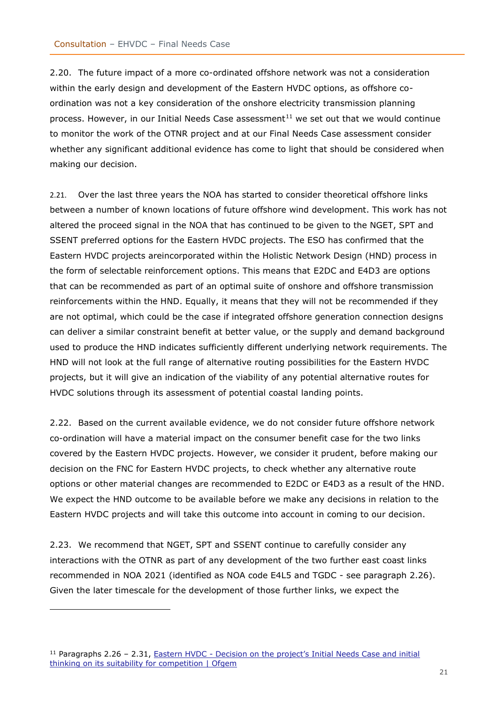2.20. The future impact of a more co-ordinated offshore network was not a consideration within the early design and development of the Eastern HVDC options, as offshore coordination was not a key consideration of the onshore electricity transmission planning process. However, in our Initial Needs Case assessment $11$  we set out that we would continue to monitor the work of the OTNR project and at our Final Needs Case assessment consider whether any significant additional evidence has come to light that should be considered when making our decision.

2.21. Over the last three years the NOA has started to consider theoretical offshore links between a number of known locations of future offshore wind development. This work has not altered the proceed signal in the NOA that has continued to be given to the NGET, SPT and SSENT preferred options for the Eastern HVDC projects. The ESO has confirmed that the Eastern HVDC projects areincorporated within the Holistic Network Design (HND) process in the form of selectable reinforcement options. This means that E2DC and E4D3 are options that can be recommended as part of an optimal suite of onshore and offshore transmission reinforcements within the HND. Equally, it means that they will not be recommended if they are not optimal, which could be the case if integrated offshore generation connection designs can deliver a similar constraint benefit at better value, or the supply and demand background used to produce the HND indicates sufficiently different underlying network requirements. The HND will not look at the full range of alternative routing possibilities for the Eastern HVDC projects, but it will give an indication of the viability of any potential alternative routes for HVDC solutions through its assessment of potential coastal landing points.

2.22. Based on the current available evidence, we do not consider future offshore network co-ordination will have a material impact on the consumer benefit case for the two links covered by the Eastern HVDC projects. However, we consider it prudent, before making our decision on the FNC for Eastern HVDC projects, to check whether any alternative route options or other material changes are recommended to E2DC or E4D3 as a result of the HND. We expect the HND outcome to be available before we make any decisions in relation to the Eastern HVDC projects and will take this outcome into account in coming to our decision.

2.23. We recommend that NGET, SPT and SSENT continue to carefully consider any interactions with the OTNR as part of any development of the two further east coast links recommended in NOA 2021 (identified as NOA code E4L5 and TGDC - see paragraph 2.26). Given the later timescale for the development of those further links, we expect the

<sup>&</sup>lt;sup>11</sup> Paragraphs 2.26 - 2.31, **Eastern HVDC** - Decision on the project's Initial Needs Case and initial [thinking on its suitability for competition | Ofgem](https://www.ofgem.gov.uk/publications/eastern-hvdc-decision-projects-initial-needs-case-and-initial-thinking-its-suitability-competition)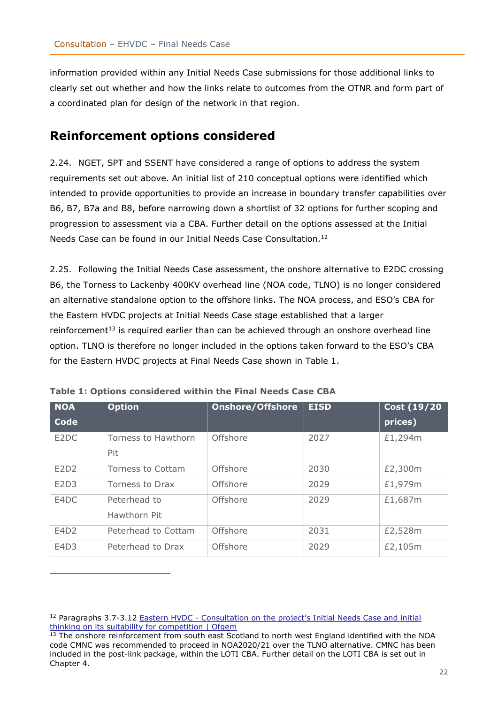information provided within any Initial Needs Case submissions for those additional links to clearly set out whether and how the links relate to outcomes from the OTNR and form part of a coordinated plan for design of the network in that region.

## <span id="page-21-0"></span>**Reinforcement options considered**

2.24. NGET, SPT and SSENT have considered a range of options to address the system requirements set out above. An initial list of 210 conceptual options were identified which intended to provide opportunities to provide an increase in boundary transfer capabilities over B6, B7, B7a and B8, before narrowing down a shortlist of 32 options for further scoping and progression to assessment via a CBA. Further detail on the options assessed at the Initial Needs Case can be found in our Initial Needs Case Consultation.<sup>12</sup>

2.25. Following the Initial Needs Case assessment, the onshore alternative to E2DC crossing B6, the Torness to Lackenby 400KV overhead line (NOA code, TLNO) is no longer considered an alternative standalone option to the offshore links. The NOA process, and ESO's CBA for the Eastern HVDC projects at Initial Needs Case stage established that a larger reinforcement<sup>13</sup> is required earlier than can be achieved through an onshore overhead line option. TLNO is therefore no longer included in the options taken forward to the ESO's CBA for the Eastern HVDC projects at Final Needs Case shown in Table 1.

| <b>NOA</b>  | <b>Option</b>       | <b>Onshore/Offshore</b> | <b>EISD</b> | <b>Cost (19/20)</b> |
|-------------|---------------------|-------------------------|-------------|---------------------|
| <b>Code</b> |                     |                         |             | prices)             |
| E2DC        | Torness to Hawthorn | <b>Offshore</b>         | 2027        | £1,294m             |
|             | <b>Pit</b>          |                         |             |                     |
| E2D2        | Torness to Cottam   | Offshore                | 2030        | £2,300m             |
| E2D3        | Torness to Drax     | Offshore                | 2029        | £1,979m             |
| E4DC        | Peterhead to        | Offshore                | 2029        | £1,687m             |
|             | Hawthorn Pit        |                         |             |                     |
| E4D2        | Peterhead to Cottam | Offshore                | 2031        | £2,528m             |
| E4D3        | Peterhead to Drax   | Offshore                | 2029        | £2,105m             |

<sup>&</sup>lt;sup>12</sup> Paragraphs 3.7-3.12 Eastern HVDC - Consultation on the project's Initial Needs Case and initial [thinking on its suitability for competition | Ofgem](https://www.ofgem.gov.uk/publications/eastern-hvdc-consultation-projects-initial-needs-case-and-initial-thinking-its-suitability-competition)

<sup>&</sup>lt;sup>13</sup> The onshore reinforcement from south east Scotland to north west England identified with the NOA code CMNC was recommended to proceed in NOA2020/21 over the TLNO alternative. CMNC has been included in the post-link package, within the LOTI CBA. Further detail on the LOTI CBA is set out in Chapter 4.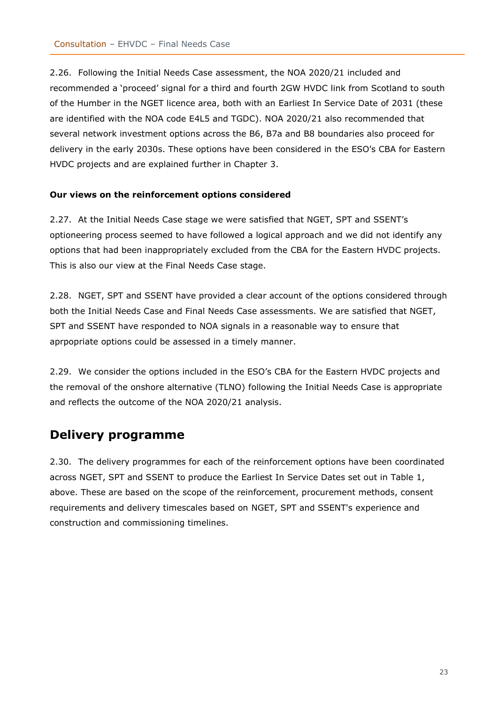2.26. Following the Initial Needs Case assessment, the NOA 2020/21 included and recommended a 'proceed' signal for a third and fourth 2GW HVDC link from Scotland to south of the Humber in the NGET licence area, both with an Earliest In Service Date of 2031 (these are identified with the NOA code E4L5 and TGDC). NOA 2020/21 also recommended that several network investment options across the B6, B7a and B8 boundaries also proceed for delivery in the early 2030s. These options have been considered in the ESO's CBA for Eastern HVDC projects and are explained further in Chapter 3.

#### <span id="page-22-0"></span>**Our views on the reinforcement options considered**

2.27. At the Initial Needs Case stage we were satisfied that NGET, SPT and SSENT's optioneering process seemed to have followed a logical approach and we did not identify any options that had been inappropriately excluded from the CBA for the Eastern HVDC projects. This is also our view at the Final Needs Case stage.

2.28. NGET, SPT and SSENT have provided a clear account of the options considered through both the Initial Needs Case and Final Needs Case assessments. We are satisfied that NGET, SPT and SSENT have responded to NOA signals in a reasonable way to ensure that aprpopriate options could be assessed in a timely manner.

2.29. We consider the options included in the ESO's CBA for the Eastern HVDC projects and the removal of the onshore alternative (TLNO) following the Initial Needs Case is appropriate and reflects the outcome of the NOA 2020/21 analysis.

## <span id="page-22-1"></span>**Delivery programme**

2.30. The delivery programmes for each of the reinforcement options have been coordinated across NGET, SPT and SSENT to produce the Earliest In Service Dates set out in Table 1, above. These are based on the scope of the reinforcement, procurement methods, consent requirements and delivery timescales based on NGET, SPT and SSENT's experience and construction and commissioning timelines.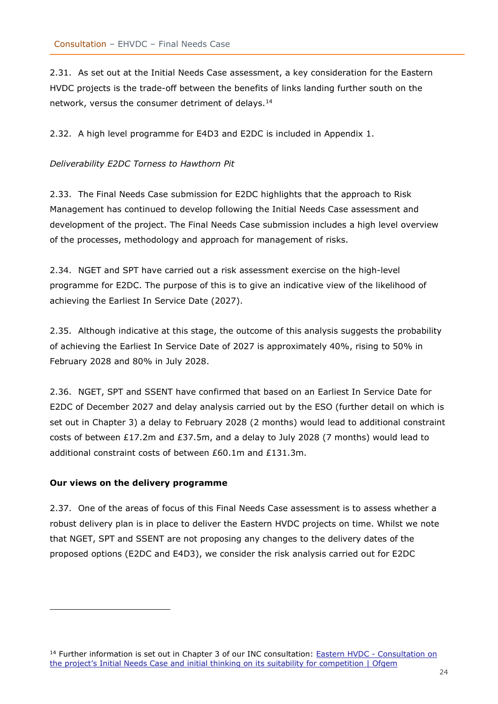2.31. As set out at the Initial Needs Case assessment, a key consideration for the Eastern HVDC projects is the trade-off between the benefits of links landing further south on the network, versus the consumer detriment of delays.<sup>14</sup>

2.32. A high level programme for E4D3 and E2DC is included in Appendix 1.

#### *Deliverability E2DC Torness to Hawthorn Pit*

2.33. The Final Needs Case submission for E2DC highlights that the approach to Risk Management has continued to develop following the Initial Needs Case assessment and development of the project. The Final Needs Case submission includes a high level overview of the processes, methodology and approach for management of risks.

2.34. NGET and SPT have carried out a risk assessment exercise on the high-level programme for E2DC. The purpose of this is to give an indicative view of the likelihood of achieving the Earliest In Service Date (2027).

2.35. Although indicative at this stage, the outcome of this analysis suggests the probability of achieving the Earliest In Service Date of 2027 is approximately 40%, rising to 50% in February 2028 and 80% in July 2028.

2.36. NGET, SPT and SSENT have confirmed that based on an Earliest In Service Date for E2DC of December 2027 and delay analysis carried out by the ESO (further detail on which is set out in Chapter 3) a delay to February 2028 (2 months) would lead to additional constraint costs of between £17.2m and £37.5m, and a delay to July 2028 (7 months) would lead to additional constraint costs of between £60.1m and £131.3m.

#### <span id="page-23-0"></span>**Our views on the delivery programme**

2.37. One of the areas of focus of this Final Needs Case assessment is to assess whether a robust delivery plan is in place to deliver the Eastern HVDC projects on time. Whilst we note that NGET, SPT and SSENT are not proposing any changes to the delivery dates of the proposed options (E2DC and E4D3), we consider the risk analysis carried out for E2DC

<sup>&</sup>lt;sup>14</sup> Further information is set out in Chapter 3 of our INC consultation: **Eastern HVDC** - Consultation on [the project's Initial Needs Case and initial thinking on it](https://www.ofgem.gov.uk/publications/eastern-hvdc-consultation-projects-initial-needs-case-and-initial-thinking-its-suitability-competition)s suitability for competition | Ofgem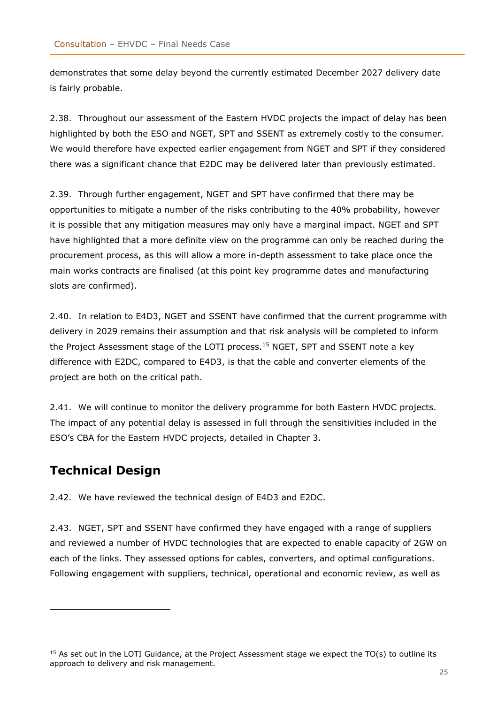demonstrates that some delay beyond the currently estimated December 2027 delivery date is fairly probable.

2.38. Throughout our assessment of the Eastern HVDC projects the impact of delay has been highlighted by both the ESO and NGET, SPT and SSENT as extremely costly to the consumer. We would therefore have expected earlier engagement from NGET and SPT if they considered there was a significant chance that E2DC may be delivered later than previously estimated.

2.39. Through further engagement, NGET and SPT have confirmed that there may be opportunities to mitigate a number of the risks contributing to the 40% probability, however it is possible that any mitigation measures may only have a marginal impact. NGET and SPT have highlighted that a more definite view on the programme can only be reached during the procurement process, as this will allow a more in-depth assessment to take place once the main works contracts are finalised (at this point key programme dates and manufacturing slots are confirmed).

2.40. In relation to E4D3, NGET and SSENT have confirmed that the current programme with delivery in 2029 remains their assumption and that risk analysis will be completed to inform the Project Assessment stage of the LOTI process.<sup>15</sup> NGET, SPT and SSENT note a key difference with E2DC, compared to E4D3, is that the cable and converter elements of the project are both on the critical path.

2.41. We will continue to monitor the delivery programme for both Eastern HVDC projects. The impact of any potential delay is assessed in full through the sensitivities included in the ESO's CBA for the Eastern HVDC projects, detailed in Chapter 3.

# <span id="page-24-0"></span>**Technical Design**

2.42. We have reviewed the technical design of E4D3 and E2DC.

2.43. NGET, SPT and SSENT have confirmed they have engaged with a range of suppliers and reviewed a number of HVDC technologies that are expected to enable capacity of 2GW on each of the links. They assessed options for cables, converters, and optimal configurations. Following engagement with suppliers, technical, operational and economic review, as well as

<sup>&</sup>lt;sup>15</sup> As set out in the LOTI Guidance, at the Project Assessment stage we expect the TO(s) to outline its approach to delivery and risk management.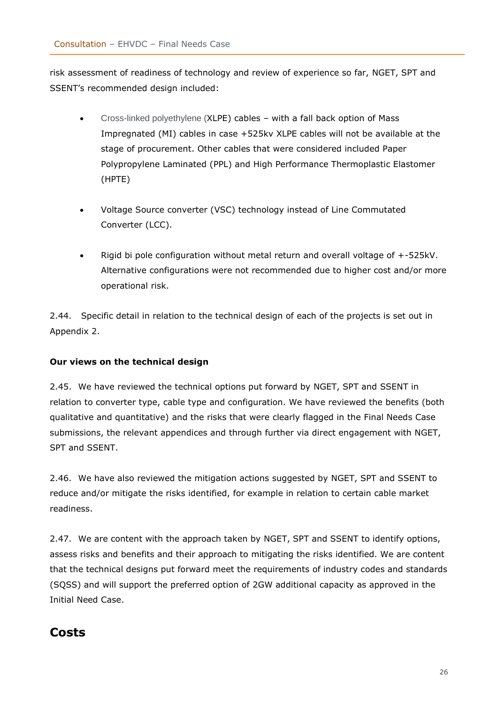risk assessment of readiness of technology and review of experience so far, NGET, SPT and SSENT's recommended design included:

- Cross-linked polyethylene (XLPE) cables with a fall back option of Mass Impregnated (MI) cables in case +525kv XLPE cables will not be available at the stage of procurement. Other cables that were considered included Paper Polypropylene Laminated (PPL) and High Performance Thermoplastic Elastomer (HPTE)
- Voltage Source converter (VSC) technology instead of Line Commutated Converter (LCC).
- Rigid bi pole configuration without metal return and overall voltage of +-525kV. Alternative configurations were not recommended due to higher cost and/or more operational risk.

2.44. Specific detail in relation to the technical design of each of the projects is set out in Appendix 2.

#### <span id="page-25-0"></span>**Our views on the technical design**

2.45. We have reviewed the technical options put forward by NGET, SPT and SSENT in relation to converter type, cable type and configuration. We have reviewed the benefits (both qualitative and quantitative) and the risks that were clearly flagged in the Final Needs Case submissions, the relevant appendices and through further via direct engagement with NGET, SPT and SSENT.

2.46. We have also reviewed the mitigation actions suggested by NGET, SPT and SSENT to reduce and/or mitigate the risks identified, for example in relation to certain cable market readiness.

2.47. We are content with the approach taken by NGET, SPT and SSENT to identify options, assess risks and benefits and their approach to mitigating the risks identified. We are content that the technical designs put forward meet the requirements of industry codes and standards (SQSS) and will support the preferred option of 2GW additional capacity as approved in the Initial Need Case.

## <span id="page-25-1"></span>**Costs**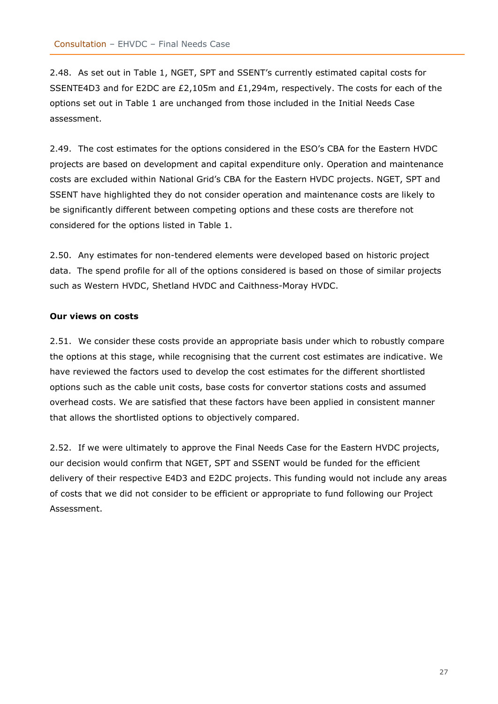2.48. As set out in Table 1, NGET, SPT and SSENT's currently estimated capital costs for SSENTE4D3 and for E2DC are £2,105m and £1,294m, respectively. The costs for each of the options set out in Table 1 are unchanged from those included in the Initial Needs Case assessment.

2.49. The cost estimates for the options considered in the ESO's CBA for the Eastern HVDC projects are based on development and capital expenditure only. Operation and maintenance costs are excluded within National Grid's CBA for the Eastern HVDC projects. NGET, SPT and SSENT have highlighted they do not consider operation and maintenance costs are likely to be significantly different between competing options and these costs are therefore not considered for the options listed in Table 1.

2.50. Any estimates for non-tendered elements were developed based on historic project data. The spend profile for all of the options considered is based on those of similar projects such as Western HVDC, Shetland HVDC and Caithness-Moray HVDC.

#### <span id="page-26-0"></span>**Our views on costs**

2.51. We consider these costs provide an appropriate basis under which to robustly compare the options at this stage, while recognising that the current cost estimates are indicative. We have reviewed the factors used to develop the cost estimates for the different shortlisted options such as the cable unit costs, base costs for convertor stations costs and assumed overhead costs. We are satisfied that these factors have been applied in consistent manner that allows the shortlisted options to objectively compared.

2.52. If we were ultimately to approve the Final Needs Case for the Eastern HVDC projects, our decision would confirm that NGET, SPT and SSENT would be funded for the efficient delivery of their respective E4D3 and E2DC projects. This funding would not include any areas of costs that we did not consider to be efficient or appropriate to fund following our Project Assessment.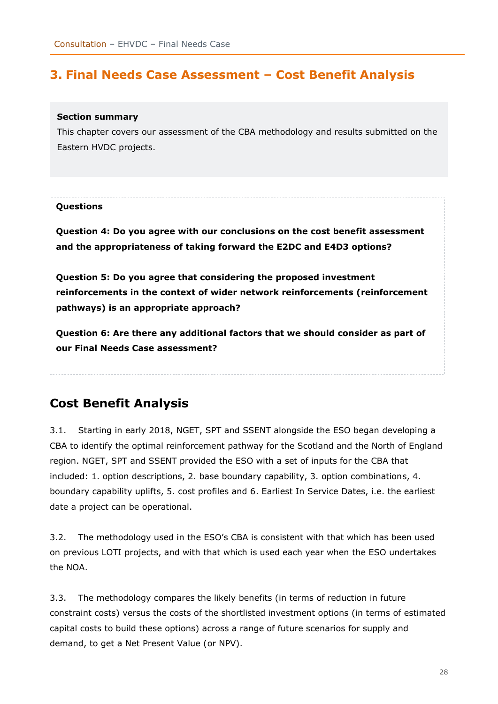# <span id="page-27-0"></span>**3. Final Needs Case Assessment – Cost Benefit Analysis**

#### **Section summary**

This chapter covers our assessment of the CBA methodology and results submitted on the Eastern HVDC projects.

#### **Questions**

**Question 4: Do you agree with our conclusions on the cost benefit assessment and the appropriateness of taking forward the E2DC and E4D3 options?**

**Question 5: Do you agree that considering the proposed investment reinforcements in the context of wider network reinforcements (reinforcement pathways) is an appropriate approach?** 

**Question 6: Are there any additional factors that we should consider as part of our Final Needs Case assessment?**

# <span id="page-27-1"></span>**Cost Benefit Analysis**

3.1. Starting in early 2018, NGET, SPT and SSENT alongside the ESO began developing a CBA to identify the optimal reinforcement pathway for the Scotland and the North of England region. NGET, SPT and SSENT provided the ESO with a set of inputs for the CBA that included: 1. option descriptions, 2. base boundary capability, 3. option combinations, 4. boundary capability uplifts, 5. cost profiles and 6. Earliest In Service Dates, i.e. the earliest date a project can be operational.

3.2. The methodology used in the ESO's CBA is consistent with that which has been used on previous LOTI projects, and with that which is used each year when the ESO undertakes the NOA.

3.3. The methodology compares the likely benefits (in terms of reduction in future constraint costs) versus the costs of the shortlisted investment options (in terms of estimated capital costs to build these options) across a range of future scenarios for supply and demand, to get a Net Present Value (or NPV).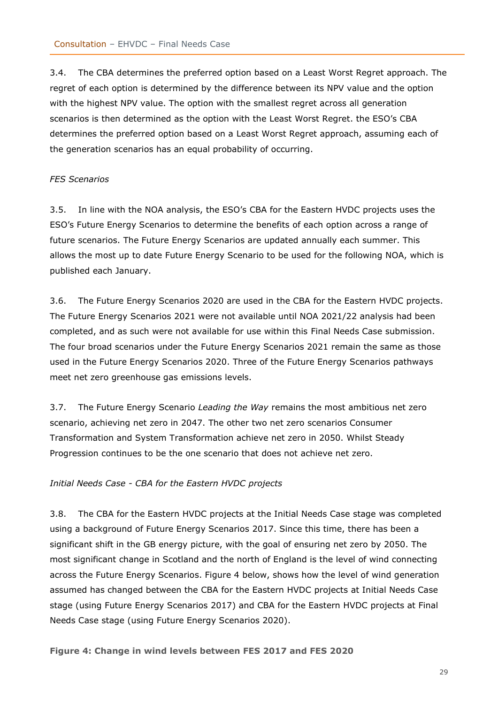3.4. The CBA determines the preferred option based on a Least Worst Regret approach. The regret of each option is determined by the difference between its NPV value and the option with the highest NPV value. The option with the smallest regret across all generation scenarios is then determined as the option with the Least Worst Regret. the ESO's CBA determines the preferred option based on a Least Worst Regret approach, assuming each of the generation scenarios has an equal probability of occurring.

#### *FES Scenarios*

3.5. In line with the NOA analysis, the ESO's CBA for the Eastern HVDC projects uses the ESO's Future Energy Scenarios to determine the benefits of each option across a range of future scenarios. The Future Energy Scenarios are updated annually each summer. This allows the most up to date Future Energy Scenario to be used for the following NOA, which is published each January.

3.6. The Future Energy Scenarios 2020 are used in the CBA for the Eastern HVDC projects. The Future Energy Scenarios 2021 were not available until NOA 2021/22 analysis had been completed, and as such were not available for use within this Final Needs Case submission. The four broad scenarios under the Future Energy Scenarios 2021 remain the same as those used in the Future Energy Scenarios 2020. Three of the Future Energy Scenarios pathways meet net zero greenhouse gas emissions levels.

3.7. The Future Energy Scenario *Leading the Way* remains the most ambitious net zero scenario, achieving net zero in 2047. The other two net zero scenarios Consumer Transformation and System Transformation achieve net zero in 2050. Whilst Steady Progression continues to be the one scenario that does not achieve net zero.

#### *Initial Needs Case - CBA for the Eastern HVDC projects*

3.8. The CBA for the Eastern HVDC projects at the Initial Needs Case stage was completed using a background of Future Energy Scenarios 2017. Since this time, there has been a significant shift in the GB energy picture, with the goal of ensuring net zero by 2050. The most significant change in Scotland and the north of England is the level of wind connecting across the Future Energy Scenarios. Figure 4 below, shows how the level of wind generation assumed has changed between the CBA for the Eastern HVDC projects at Initial Needs Case stage (using Future Energy Scenarios 2017) and CBA for the Eastern HVDC projects at Final Needs Case stage (using Future Energy Scenarios 2020).

**Figure 4: Change in wind levels between FES 2017 and FES 2020**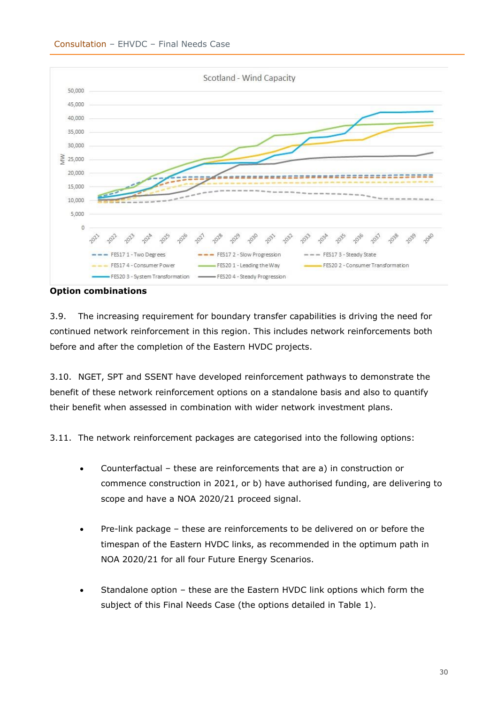<span id="page-29-0"></span>

**Option combinations**

3.9. The increasing requirement for boundary transfer capabilities is driving the need for continued network reinforcement in this region. This includes network reinforcements both before and after the completion of the Eastern HVDC projects.

3.10. NGET, SPT and SSENT have developed reinforcement pathways to demonstrate the benefit of these network reinforcement options on a standalone basis and also to quantify their benefit when assessed in combination with wider network investment plans.

3.11. The network reinforcement packages are categorised into the following options:

- Counterfactual these are reinforcements that are a) in construction or commence construction in 2021, or b) have authorised funding, are delivering to scope and have a NOA 2020/21 proceed signal.
- Pre-link package these are reinforcements to be delivered on or before the timespan of the Eastern HVDC links, as recommended in the optimum path in NOA 2020/21 for all four Future Energy Scenarios.
- Standalone option these are the Eastern HVDC link options which form the subject of this Final Needs Case (the options detailed in Table 1).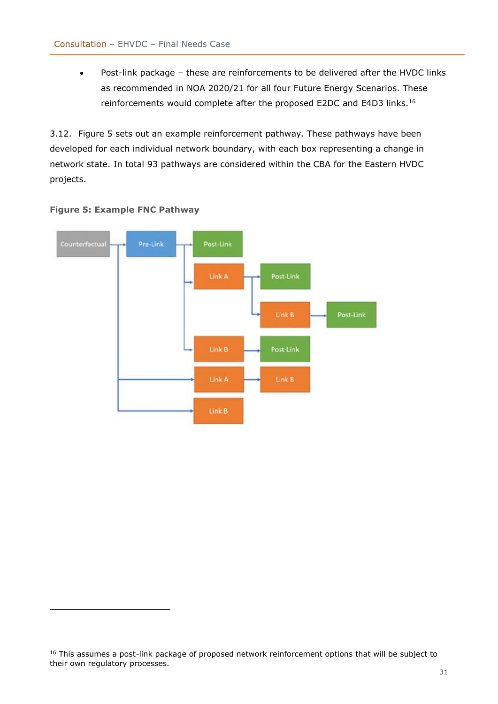• Post-link package – these are reinforcements to be delivered after the HVDC links as recommended in NOA 2020/21 for all four Future Energy Scenarios. These reinforcements would complete after the proposed E2DC and E4D3 links.<sup>16</sup>

3.12. Figure 5 sets out an example reinforcement pathway. These pathways have been developed for each individual network boundary, with each box representing a change in network state. In total 93 pathways are considered within the CBA for the Eastern HVDC projects.





<sup>&</sup>lt;sup>16</sup> This assumes a post-link package of proposed network reinforcement options that will be subject to their own regulatory processes.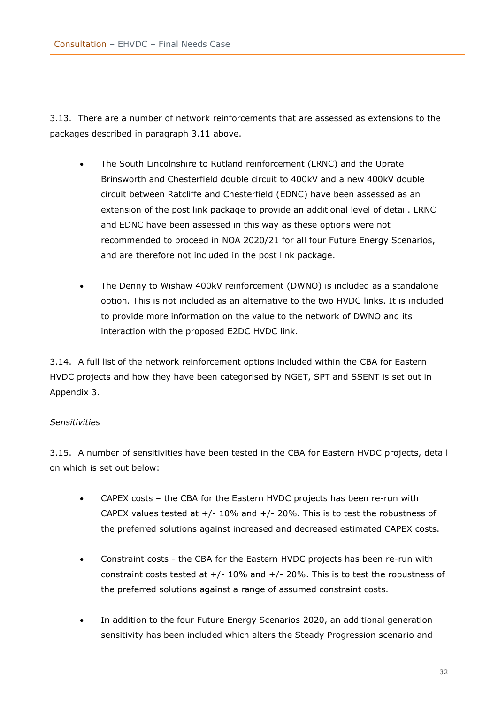3.13. There are a number of network reinforcements that are assessed as extensions to the packages described in paragraph 3.11 above.

- The South Lincolnshire to Rutland reinforcement (LRNC) and the Uprate Brinsworth and Chesterfield double circuit to 400kV and a new 400kV double circuit between Ratcliffe and Chesterfield (EDNC) have been assessed as an extension of the post link package to provide an additional level of detail. LRNC and EDNC have been assessed in this way as these options were not recommended to proceed in NOA 2020/21 for all four Future Energy Scenarios, and are therefore not included in the post link package.
- The Denny to Wishaw 400kV reinforcement (DWNO) is included as a standalone option. This is not included as an alternative to the two HVDC links. It is included to provide more information on the value to the network of DWNO and its interaction with the proposed E2DC HVDC link.

3.14. A full list of the network reinforcement options included within the CBA for Eastern HVDC projects and how they have been categorised by NGET, SPT and SSENT is set out in Appendix 3.

#### *Sensitivities*

<span id="page-31-0"></span>3.15. A number of sensitivities have been tested in the CBA for Eastern HVDC projects, detail on which is set out below:

- CAPEX costs the CBA for the Eastern HVDC projects has been re-run with CAPEX values tested at  $+/-10\%$  and  $+/-20\%$ . This is to test the robustness of the preferred solutions against increased and decreased estimated CAPEX costs.
- Constraint costs the CBA for the Eastern HVDC projects has been re-run with constraint costs tested at  $+/-10\%$  and  $+/-20\%$ . This is to test the robustness of the preferred solutions against a range of assumed constraint costs.
- In addition to the four Future Energy Scenarios 2020, an additional generation sensitivity has been included which alters the Steady Progression scenario and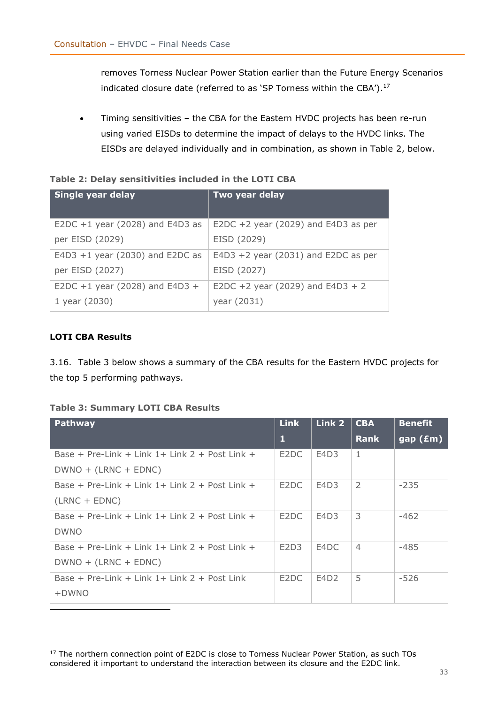removes Torness Nuclear Power Station earlier than the Future Energy Scenarios indicated closure date (referred to as 'SP Torness within the CBA'). $^{17}$ 

• Timing sensitivities – the CBA for the Eastern HVDC projects has been re-run using varied EISDs to determine the impact of delays to the HVDC links. The EISDs are delayed individually and in combination, as shown in Table 2, below.

#### **Table 2: Delay sensitivities included in the LOTI CBA**

| Single year delay                 | Two year delay                        |
|-----------------------------------|---------------------------------------|
| E2DC $+1$ year (2028) and E4D3 as | E2DC +2 year (2029) and E4D3 as per   |
| per EISD (2029)                   | EISD (2029)                           |
| E4D3 $+1$ year (2030) and E2DC as | E4D3 $+2$ year (2031) and E2DC as per |
| per EISD (2027)                   | EISD (2027)                           |
| E2DC +1 year (2028) and E4D3 +    | E2DC +2 year (2029) and E4D3 + 2      |
| 1 year (2030)                     | year (2031)                           |

#### <span id="page-32-0"></span>**LOTI CBA Results**

3.16. Table 3 below shows a summary of the CBA results for the Eastern HVDC projects for the top 5 performing pathways.

#### **Table 3: Summary LOTI CBA Results**

| Pathway                                           | Link              | Link 2           | <b>CBA</b>     | <b>Benefit</b> |
|---------------------------------------------------|-------------------|------------------|----------------|----------------|
|                                                   | 1                 |                  | <b>Rank</b>    | gap(Em)        |
| Base + Pre-Link + Link $1+$ Link $2+$ Post Link + | E2DC              | E4D3             | $\mathbf{1}$   |                |
| $DWNO + (LRNC + EDNC)$                            |                   |                  |                |                |
| Base + Pre-Link + Link $1+$ Link $2+$ Post Link + | E <sub>2</sub> DC | E4D3             | 2              | $-235$         |
| $(LRNC + EDNC)$                                   |                   |                  |                |                |
| Base + Pre-Link + Link $1+$ Link $2+$ Post Link + | E <sub>2</sub> DC | E4D3             | 3              | $-462$         |
| <b>DWNO</b>                                       |                   |                  |                |                |
| Base + Pre-Link + Link $1+$ Link $2+$ Post Link + | E2D3              | E4DC             | $\overline{4}$ | $-485$         |
| $DWNO + (LRNC + EDNC)$                            |                   |                  |                |                |
| Base + Pre-Link + Link $1+$ Link $2+$ Post Link   | E <sub>2</sub> DC | E4D <sub>2</sub> | 5              | -526           |
| +DWNO                                             |                   |                  |                |                |

<sup>17</sup> The northern connection point of E2DC is close to Torness Nuclear Power Station, as such TOs considered it important to understand the interaction between its closure and the E2DC link.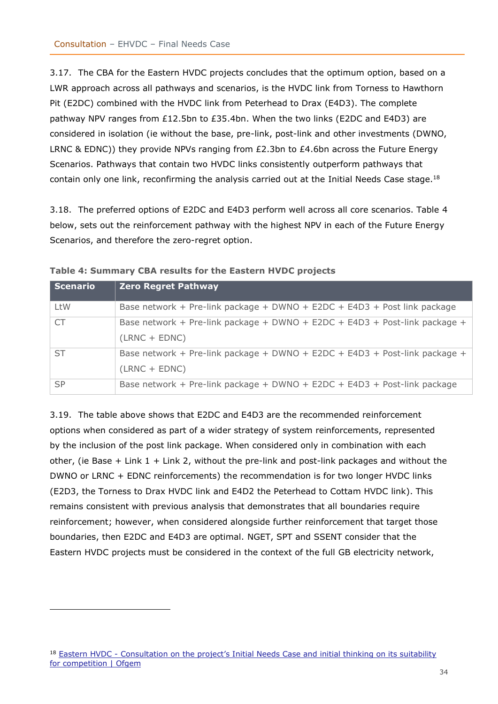3.17. The CBA for the Eastern HVDC projects concludes that the optimum option, based on a LWR approach across all pathways and scenarios, is the HVDC link from Torness to Hawthorn Pit (E2DC) combined with the HVDC link from Peterhead to Drax (E4D3). The complete pathway NPV ranges from £12.5bn to £35.4bn. When the two links (E2DC and E4D3) are considered in isolation (ie without the base, pre-link, post-link and other investments (DWNO, LRNC & EDNC)) they provide NPVs ranging from £2.3bn to £4.6bn across the Future Energy Scenarios. Pathways that contain two HVDC links consistently outperform pathways that contain only one link, reconfirming the analysis carried out at the Initial Needs Case stage.<sup>18</sup>

3.18. The preferred options of E2DC and E4D3 perform well across all core scenarios. Table 4 below, sets out the reinforcement pathway with the highest NPV in each of the Future Energy Scenarios, and therefore the zero-regret option.

| <b>Scenario</b> | <b>Zero Regret Pathway</b>                                                                    |
|-----------------|-----------------------------------------------------------------------------------------------|
| LtW             | Base network + Pre-link package + DWNO + E2DC + E4D3 + Post link package                      |
| <b>CT</b>       | Base network + Pre-link package + DWNO + E2DC + E4D3 + Post-link package +<br>$(LRNC + EDNC)$ |
| <b>ST</b>       | Base network + Pre-link package + DWNO + E2DC + E4D3 + Post-link package +<br>$(LRNC + EDNC)$ |
| <b>SP</b>       | Base network + Pre-link package + DWNO + E2DC + E4D3 + Post-link package                      |

| Table 4: Summary CBA results for the Eastern HVDC projects |  |  |  |
|------------------------------------------------------------|--|--|--|
|------------------------------------------------------------|--|--|--|

3.19. The table above shows that E2DC and E4D3 are the recommended reinforcement options when considered as part of a wider strategy of system reinforcements, represented by the inclusion of the post link package. When considered only in combination with each other, (ie Base + Link  $1 +$  Link 2, without the pre-link and post-link packages and without the DWNO or LRNC + EDNC reinforcements) the recommendation is for two longer HVDC links (E2D3, the Torness to Drax HVDC link and E4D2 the Peterhead to Cottam HVDC link). This remains consistent with previous analysis that demonstrates that all boundaries require reinforcement; however, when considered alongside further reinforcement that target those boundaries, then E2DC and E4D3 are optimal. NGET, SPT and SSENT consider that the Eastern HVDC projects must be considered in the context of the full GB electricity network,

<sup>18</sup> Eastern HVDC - Consultation on the project's Initial Needs Case and initial thinking on its suitability [for competition | Ofgem](https://www.ofgem.gov.uk/publications/eastern-hvdc-consultation-projects-initial-needs-case-and-initial-thinking-its-suitability-competition)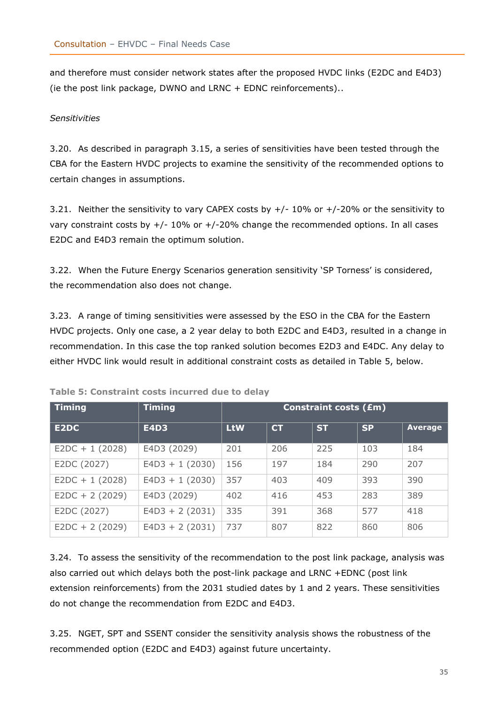and therefore must consider network states after the proposed HVDC links (E2DC and E4D3) (ie the post link package, DWNO and LRNC + EDNC reinforcements)..

#### *Sensitivities*

3.20. As described in paragraph [3.15,](#page-31-0) a series of sensitivities have been tested through the CBA for the Eastern HVDC projects to examine the sensitivity of the recommended options to certain changes in assumptions.

3.21. Neither the sensitivity to vary CAPEX costs by  $+/-10\%$  or  $+/-20\%$  or the sensitivity to vary constraint costs by  $+/-10\%$  or  $+/-20\%$  change the recommended options. In all cases E2DC and E4D3 remain the optimum solution.

3.22. When the Future Energy Scenarios generation sensitivity 'SP Torness' is considered, the recommendation also does not change.

3.23. A range of timing sensitivities were assessed by the ESO in the CBA for the Eastern HVDC projects. Only one case, a 2 year delay to both E2DC and E4D3, resulted in a change in recommendation. In this case the top ranked solution becomes E2D3 and E4DC. Any delay to either HVDC link would result in additional constraint costs as detailed in Table 5, below.

| <b>Timing</b>    | <b>Timing</b>     | <b>Constraint costs (£m)</b> |           |           |           |                |
|------------------|-------------------|------------------------------|-----------|-----------|-----------|----------------|
| E2DC             | <b>E4D3</b>       | <b>LtW</b>                   | <b>CT</b> | <b>ST</b> | <b>SP</b> | <b>Average</b> |
| $E2DC + 1(2028)$ | E4D3 (2029)       | 201                          | 206       | 225       | 103       | 184            |
| E2DC (2027)      | $E4D3 + 1$ (2030) | 156                          | 197       | 184       | 290       | 207            |
| $E2DC + 1(2028)$ | $E4D3 + 1$ (2030) | 357                          | 403       | 409       | 393       | 390            |
| $E2DC + 2(2029)$ | E4D3 (2029)       | 402                          | 416       | 453       | 283       | 389            |
| E2DC (2027)      | $E4D3 + 2(2031)$  | 335                          | 391       | 368       | 577       | 418            |
| $E2DC + 2(2029)$ | $E4D3 + 2(2031)$  | 737                          | 807       | 822       | 860       | 806            |

**Table 5: Constraint costs incurred due to delay**

3.24. To assess the sensitivity of the recommendation to the post link package, analysis was also carried out which delays both the post-link package and LRNC +EDNC (post link extension reinforcements) from the 2031 studied dates by 1 and 2 years. These sensitivities do not change the recommendation from E2DC and E4D3.

3.25. NGET, SPT and SSENT consider the sensitivity analysis shows the robustness of the recommended option (E2DC and E4D3) against future uncertainty.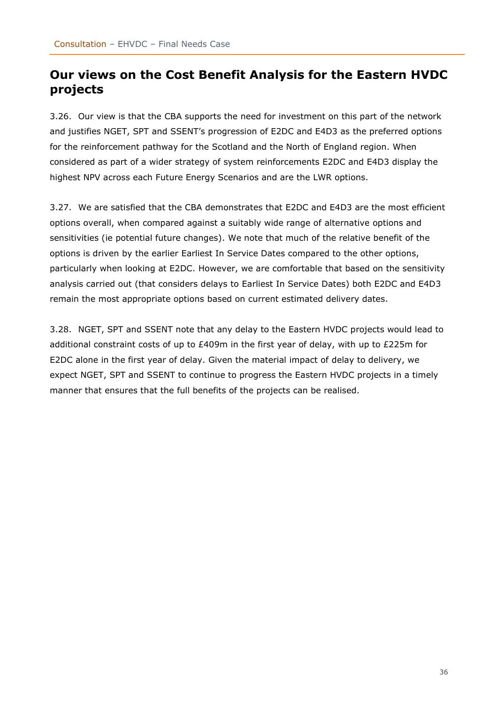# <span id="page-35-0"></span>**Our views on the Cost Benefit Analysis for the Eastern HVDC projects**

3.26. Our view is that the CBA supports the need for investment on this part of the network and justifies NGET, SPT and SSENT's progression of E2DC and E4D3 as the preferred options for the reinforcement pathway for the Scotland and the North of England region. When considered as part of a wider strategy of system reinforcements E2DC and E4D3 display the highest NPV across each Future Energy Scenarios and are the LWR options.

3.27. We are satisfied that the CBA demonstrates that E2DC and E4D3 are the most efficient options overall, when compared against a suitably wide range of alternative options and sensitivities (ie potential future changes). We note that much of the relative benefit of the options is driven by the earlier Earliest In Service Dates compared to the other options, particularly when looking at E2DC. However, we are comfortable that based on the sensitivity analysis carried out (that considers delays to Earliest In Service Dates) both E2DC and E4D3 remain the most appropriate options based on current estimated delivery dates.

3.28. NGET, SPT and SSENT note that any delay to the Eastern HVDC projects would lead to additional constraint costs of up to  $£409m$  in the first year of delay, with up to  $£225m$  for E2DC alone in the first year of delay. Given the material impact of delay to delivery, we expect NGET, SPT and SSENT to continue to progress the Eastern HVDC projects in a timely manner that ensures that the full benefits of the projects can be realised.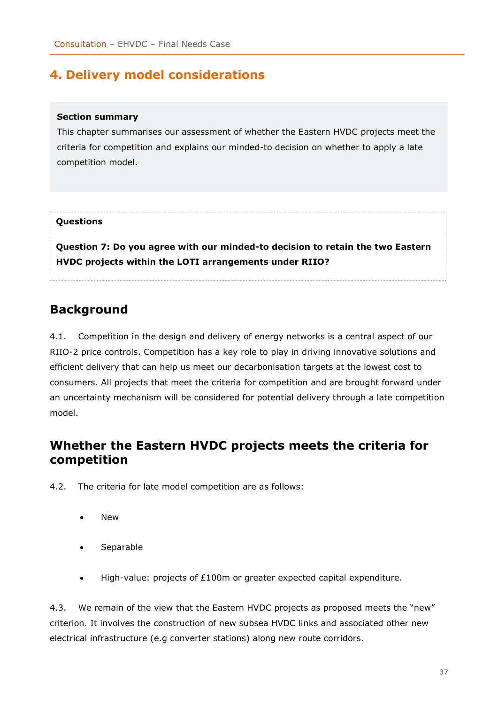# <span id="page-36-0"></span>**4. Delivery model considerations**

#### **Section summary**

This chapter summarises our assessment of whether the Eastern HVDC projects meet the criteria for competition and explains our minded-to decision on whether to apply a late competition model.

#### **Questions**

**Question 7: Do you agree with our minded-to decision to retain the two Eastern HVDC projects within the LOTI arrangements under RIIO?**

# <span id="page-36-1"></span>**Background**

4.1. Competition in the design and delivery of energy networks is a central aspect of our RIIO-2 price controls. Competition has a key role to play in driving innovative solutions and efficient delivery that can help us meet our decarbonisation targets at the lowest cost to consumers. All projects that meet the criteria for competition and are brought forward under an uncertainty mechanism will be considered for potential delivery through a late competition model.

# <span id="page-36-2"></span>**Whether the Eastern HVDC projects meets the criteria for competition**

- 4.2. The criteria for late model competition are as follows:
	- **New**
	- **Separable**
	- High-value: projects of £100m or greater expected capital expenditure.

4.3. We remain of the view that the Eastern HVDC projects as proposed meets the "new" criterion. It involves the construction of new subsea HVDC links and associated other new electrical infrastructure (e.g converter stations) along new route corridors.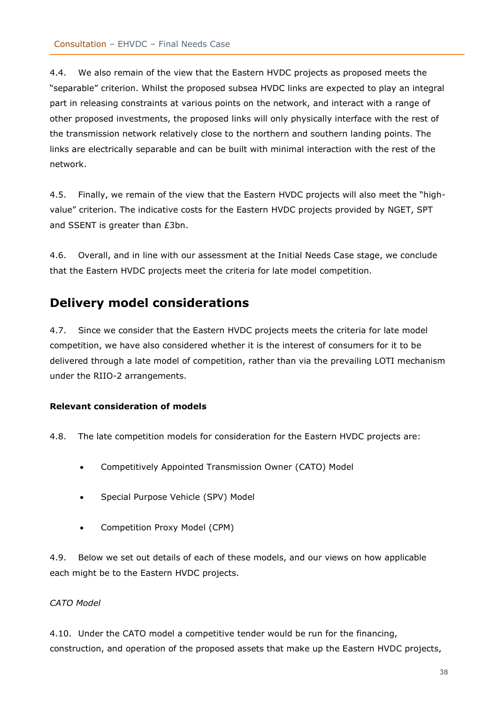4.4. We also remain of the view that the Eastern HVDC projects as proposed meets the "separable" criterion. Whilst the proposed subsea HVDC links are expected to play an integral part in releasing constraints at various points on the network, and interact with a range of other proposed investments, the proposed links will only physically interface with the rest of the transmission network relatively close to the northern and southern landing points. The links are electrically separable and can be built with minimal interaction with the rest of the network.

4.5. Finally, we remain of the view that the Eastern HVDC projects will also meet the "highvalue" criterion. The indicative costs for the Eastern HVDC projects provided by NGET, SPT and SSENT is greater than £3bn.

4.6. Overall, and in line with our assessment at the Initial Needs Case stage, we conclude that the Eastern HVDC projects meet the criteria for late model competition.

## <span id="page-37-0"></span>**Delivery model considerations**

4.7. Since we consider that the Eastern HVDC projects meets the criteria for late model competition, we have also considered whether it is the interest of consumers for it to be delivered through a late model of competition, rather than via the prevailing LOTI mechanism under the RIIO-2 arrangements.

#### <span id="page-37-1"></span>**Relevant consideration of models**

4.8. The late competition models for consideration for the Eastern HVDC projects are:

- Competitively Appointed Transmission Owner (CATO) Model
- Special Purpose Vehicle (SPV) Model
- Competition Proxy Model (CPM)

4.9. Below we set out details of each of these models, and our views on how applicable each might be to the Eastern HVDC projects.

#### *CATO Model*

4.10. Under the CATO model a competitive tender would be run for the financing, construction, and operation of the proposed assets that make up the Eastern HVDC projects,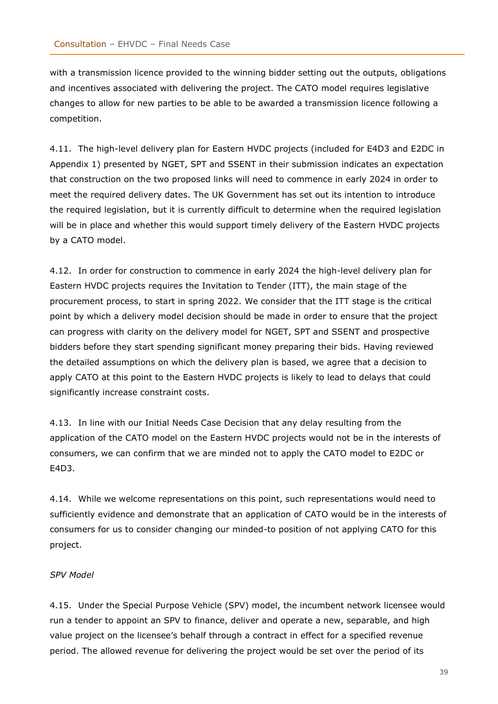with a transmission licence provided to the winning bidder setting out the outputs, obligations and incentives associated with delivering the project. The CATO model requires legislative changes to allow for new parties to be able to be awarded a transmission licence following a competition.

4.11. The high-level delivery plan for Eastern HVDC projects (included for E4D3 and E2DC in Appendix 1) presented by NGET, SPT and SSENT in their submission indicates an expectation that construction on the two proposed links will need to commence in early 2024 in order to meet the required delivery dates. The UK Government has set out its intention to introduce the required legislation, but it is currently difficult to determine when the required legislation will be in place and whether this would support timely delivery of the Eastern HVDC projects by a CATO model.

4.12. In order for construction to commence in early 2024 the high-level delivery plan for Eastern HVDC projects requires the Invitation to Tender (ITT), the main stage of the procurement process, to start in spring 2022. We consider that the ITT stage is the critical point by which a delivery model decision should be made in order to ensure that the project can progress with clarity on the delivery model for NGET, SPT and SSENT and prospective bidders before they start spending significant money preparing their bids. Having reviewed the detailed assumptions on which the delivery plan is based, we agree that a decision to apply CATO at this point to the Eastern HVDC projects is likely to lead to delays that could significantly increase constraint costs.

4.13. In line with our Initial Needs Case Decision that any delay resulting from the application of the CATO model on the Eastern HVDC projects would not be in the interests of consumers, we can confirm that we are minded not to apply the CATO model to E2DC or E4D3.

4.14. While we welcome representations on this point, such representations would need to sufficiently evidence and demonstrate that an application of CATO would be in the interests of consumers for us to consider changing our minded-to position of not applying CATO for this project.

#### *SPV Model*

4.15. Under the Special Purpose Vehicle (SPV) model, the incumbent network licensee would run a tender to appoint an SPV to finance, deliver and operate a new, separable, and high value project on the licensee's behalf through a contract in effect for a specified revenue period. The allowed revenue for delivering the project would be set over the period of its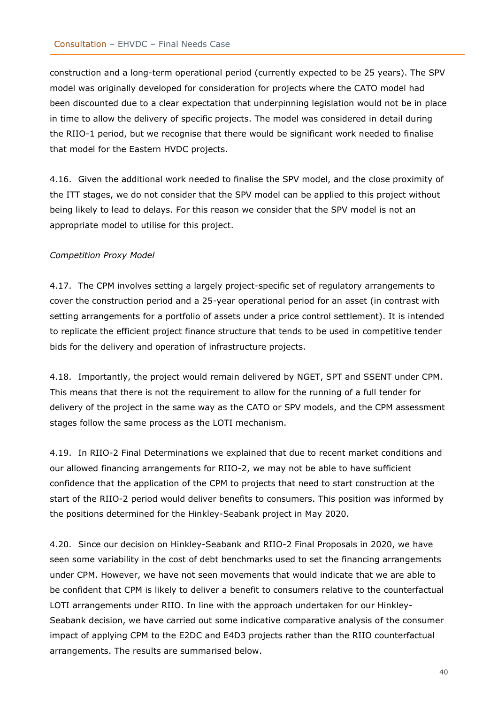construction and a long-term operational period (currently expected to be 25 years). The SPV model was originally developed for consideration for projects where the CATO model had been discounted due to a clear expectation that underpinning legislation would not be in place in time to allow the delivery of specific projects. The model was considered in detail during the RIIO-1 period, but we recognise that there would be significant work needed to finalise that model for the Eastern HVDC projects.

4.16. Given the additional work needed to finalise the SPV model, and the close proximity of the ITT stages, we do not consider that the SPV model can be applied to this project without being likely to lead to delays. For this reason we consider that the SPV model is not an appropriate model to utilise for this project.

#### *Competition Proxy Model*

4.17. The CPM involves setting a largely project-specific set of regulatory arrangements to cover the construction period and a 25-year operational period for an asset (in contrast with setting arrangements for a portfolio of assets under a price control settlement). It is intended to replicate the efficient project finance structure that tends to be used in competitive tender bids for the delivery and operation of infrastructure projects.

4.18. Importantly, the project would remain delivered by NGET, SPT and SSENT under CPM. This means that there is not the requirement to allow for the running of a full tender for delivery of the project in the same way as the CATO or SPV models, and the CPM assessment stages follow the same process as the LOTI mechanism.

4.19. In RIIO-2 Final Determinations we explained that due to recent market conditions and our allowed financing arrangements for RIIO-2, we may not be able to have sufficient confidence that the application of the CPM to projects that need to start construction at the start of the RIIO-2 period would deliver benefits to consumers. This position was informed by the positions determined for the Hinkley-Seabank project in May 2020.

4.20. Since our decision on Hinkley-Seabank and RIIO-2 Final Proposals in 2020, we have seen some variability in the cost of debt benchmarks used to set the financing arrangements under CPM. However, we have not seen movements that would indicate that we are able to be confident that CPM is likely to deliver a benefit to consumers relative to the counterfactual LOTI arrangements under RIIO. In line with the approach undertaken for our Hinkley-Seabank decision, we have carried out some indicative comparative analysis of the consumer impact of applying CPM to the E2DC and E4D3 projects rather than the RIIO counterfactual arrangements. The results are summarised below.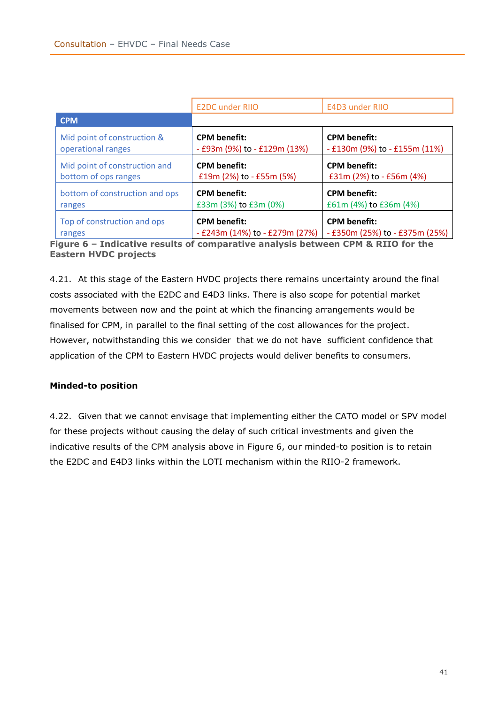|                                | <b>E2DC under RIIO</b>         | <b>E4D3 under RIIO</b>             |
|--------------------------------|--------------------------------|------------------------------------|
| <b>CPM</b>                     |                                |                                    |
| Mid point of construction &    | <b>CPM</b> benefit:            | <b>CPM</b> benefit:                |
| operational ranges             | - £93m (9%) to - £129m (13%)   | $-$ £130m (9%) to $-$ £155m (11%)  |
| Mid point of construction and  | <b>CPM</b> benefit:            | <b>CPM</b> benefit:                |
| bottom of ops ranges           | £19m (2%) to - £55m (5%)       | £31m (2%) to - £56m (4%)           |
| bottom of construction and ops | <b>CPM</b> benefit:            | <b>CPM</b> benefit:                |
| ranges                         | £33m (3%) to £3m (0%)          | £61m (4%) to £36m (4%)             |
| Top of construction and ops    | <b>CPM</b> benefit:            | <b>CPM benefit:</b>                |
| ranges                         | - £243m (14%) to - £279m (27%) | $-$ £350m (25%) to $-$ £375m (25%) |

**Figure 6 – Indicative results of comparative analysis between CPM & RIIO for the Eastern HVDC projects**

4.21. At this stage of the Eastern HVDC projects there remains uncertainty around the final costs associated with the E2DC and E4D3 links. There is also scope for potential market movements between now and the point at which the financing arrangements would be finalised for CPM, in parallel to the final setting of the cost allowances for the project. However, notwithstanding this we consider that we do not have sufficient confidence that application of the CPM to Eastern HVDC projects would deliver benefits to consumers.

#### <span id="page-40-0"></span>**Minded-to position**

4.22. Given that we cannot envisage that implementing either the CATO model or SPV model for these projects without causing the delay of such critical investments and given the indicative results of the CPM analysis above in Figure 6, our minded-to position is to retain the E2DC and E4D3 links within the LOTI mechanism within the RIIO-2 framework.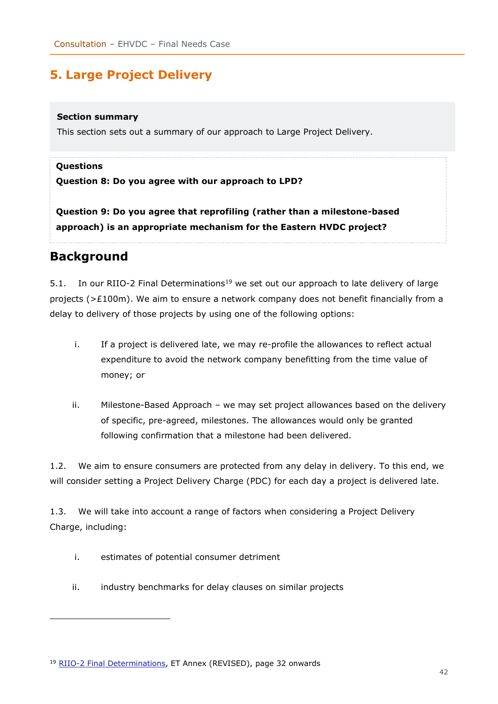# <span id="page-41-0"></span>**5. Large Project Delivery**

#### **Section summary**

This section sets out a summary of our approach to Large Project Delivery.

#### **Questions**

#### **Question 8: Do you agree with our approach to LPD?**

**Question 9: Do you agree that reprofiling (rather than a milestone-based approach) is an appropriate mechanism for the Eastern HVDC project?** 

## <span id="page-41-1"></span>**Background**

5.1. In our RIIO-2 Final Determinations<sup>19</sup> we set out our approach to late delivery of large projects ( $>£100$ m). We aim to ensure a network company does not benefit financially from a delay to delivery of those projects by using one of the following options:

- i. If a project is delivered late, we may re-profile the allowances to reflect actual expenditure to avoid the network company benefitting from the time value of money; or
- ii. Milestone-Based Approach we may set project allowances based on the delivery of specific, pre-agreed, milestones. The allowances would only be granted following confirmation that a milestone had been delivered.

1.2. We aim to ensure consumers are protected from any delay in delivery. To this end, we will consider setting a Project Delivery Charge (PDC) for each day a project is delivered late.

1.3. We will take into account a range of factors when considering a Project Delivery Charge, including:

- i. estimates of potential consumer detriment
- ii. industry benchmarks for delay clauses on similar projects

<sup>&</sup>lt;sup>19</sup> [RIIO-2 Final Determinations,](https://www.ofgem.gov.uk/publications/riio-2-final-determinations-transmission-and-gas-distribution-network-companies-and-electricity-system-operator) ET Annex (REVISED), page 32 onwards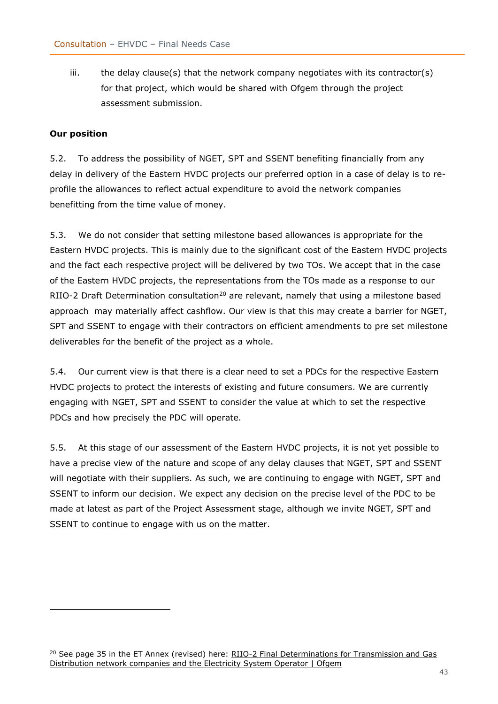iii. the delay clause(s) that the network company negotiates with its contractor(s) for that project, which would be shared with Ofgem through the project assessment submission.

#### <span id="page-42-0"></span>**Our position**

5.2. To address the possibility of NGET, SPT and SSENT benefiting financially from any delay in delivery of the Eastern HVDC projects our preferred option in a case of delay is to reprofile the allowances to reflect actual expenditure to avoid the network companies benefitting from the time value of money.

5.3. We do not consider that setting milestone based allowances is appropriate for the Eastern HVDC projects. This is mainly due to the significant cost of the Eastern HVDC projects and the fact each respective project will be delivered by two TOs. We accept that in the case of the Eastern HVDC projects, the representations from the TOs made as a response to our RIIO-2 Draft Determination consultation<sup>20</sup> are relevant, namely that using a milestone based approach may materially affect cashflow. Our view is that this may create a barrier for NGET, SPT and SSENT to engage with their contractors on efficient amendments to pre set milestone deliverables for the benefit of the project as a whole.

5.4. Our current view is that there is a clear need to set a PDCs for the respective Eastern HVDC projects to protect the interests of existing and future consumers. We are currently engaging with NGET, SPT and SSENT to consider the value at which to set the respective PDCs and how precisely the PDC will operate.

5.5. At this stage of our assessment of the Eastern HVDC projects, it is not yet possible to have a precise view of the nature and scope of any delay clauses that NGET, SPT and SSENT will negotiate with their suppliers. As such, we are continuing to engage with NGET, SPT and SSENT to inform our decision. We expect any decision on the precise level of the PDC to be made at latest as part of the Project Assessment stage, although we invite NGET, SPT and SSENT to continue to engage with us on the matter.

<sup>&</sup>lt;sup>20</sup> See page 35 in the ET Annex (revised) here: RIIO-2 Final Determinations for Transmission and Gas [Distribution network companies and the Electricity System Operator | Ofgem](https://www.ofgem.gov.uk/publications/riio-2-final-determinations-transmission-and-gas-distribution-network-companies-and-electricity-system-operator)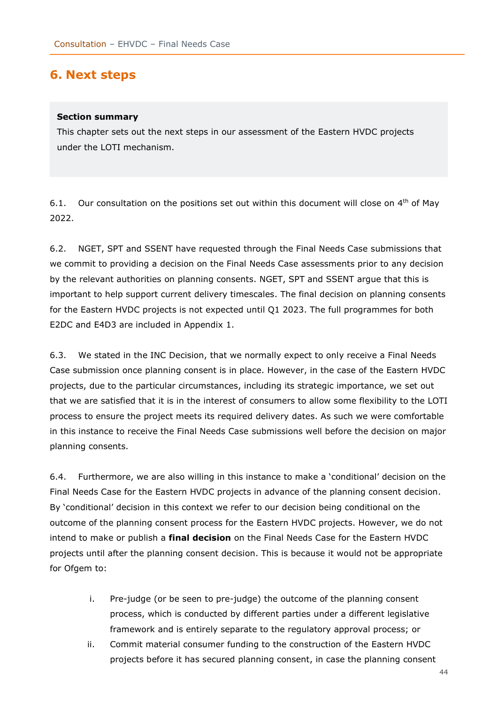## <span id="page-43-0"></span>**6. Next steps**

#### **Section summary**

This chapter sets out the next steps in our assessment of the Eastern HVDC projects under the LOTI mechanism.

6.1. Our consultation on the positions set out within this document will close on  $4<sup>th</sup>$  of May 2022.

6.2. NGET, SPT and SSENT have requested through the Final Needs Case submissions that we commit to providing a decision on the Final Needs Case assessments prior to any decision by the relevant authorities on planning consents. NGET, SPT and SSENT argue that this is important to help support current delivery timescales. The final decision on planning consents for the Eastern HVDC projects is not expected until Q1 2023. The full programmes for both E2DC and E4D3 are included in Appendix 1.

6.3. We stated in the INC Decision, that we normally expect to only receive a Final Needs Case submission once planning consent is in place. However, in the case of the Eastern HVDC projects, due to the particular circumstances, including its strategic importance, we set out that we are satisfied that it is in the interest of consumers to allow some flexibility to the LOTI process to ensure the project meets its required delivery dates. As such we were comfortable in this instance to receive the Final Needs Case submissions well before the decision on major planning consents.

6.4. Furthermore, we are also willing in this instance to make a 'conditional' decision on the Final Needs Case for the Eastern HVDC projects in advance of the planning consent decision. By 'conditional' decision in this context we refer to our decision being conditional on the outcome of the planning consent process for the Eastern HVDC projects. However, we do not intend to make or publish a **final decision** on the Final Needs Case for the Eastern HVDC projects until after the planning consent decision. This is because it would not be appropriate for Ofgem to:

- i. Pre-judge (or be seen to pre-judge) the outcome of the planning consent process, which is conducted by different parties under a different legislative framework and is entirely separate to the regulatory approval process; or
- ii. Commit material consumer funding to the construction of the Eastern HVDC projects before it has secured planning consent, in case the planning consent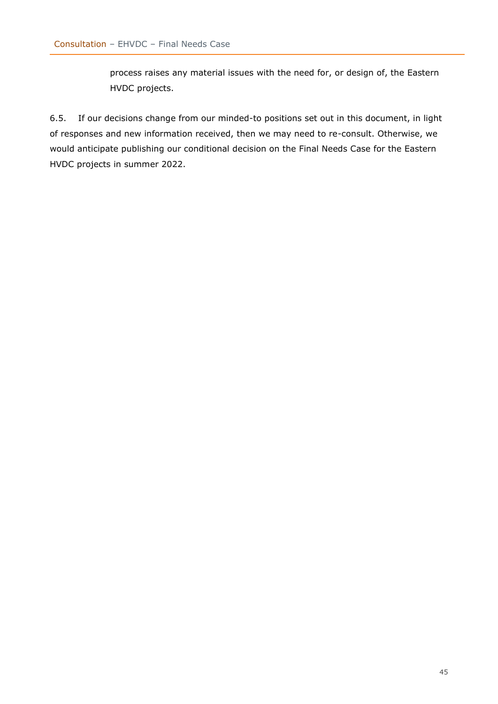process raises any material issues with the need for, or design of, the Eastern HVDC projects.

6.5. If our decisions change from our minded-to positions set out in this document, in light of responses and new information received, then we may need to re-consult. Otherwise, we would anticipate publishing our conditional decision on the Final Needs Case for the Eastern HVDC projects in summer 2022.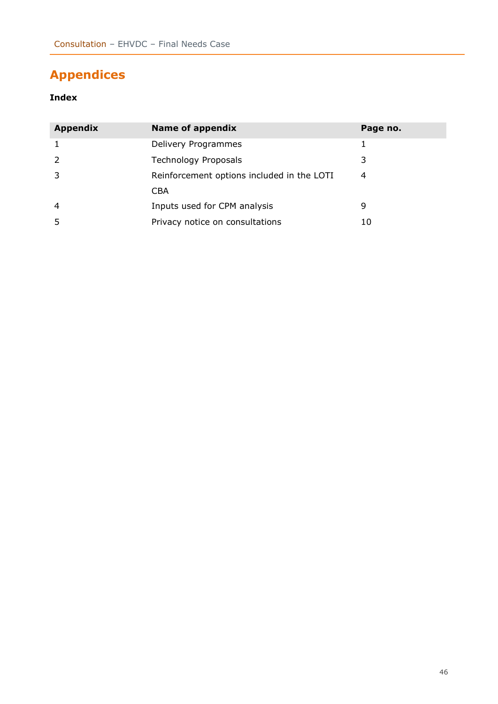# <span id="page-45-0"></span>**Appendices**

#### **Index**

| <b>Appendix</b> | <b>Name of appendix</b>                    | Page no. |
|-----------------|--------------------------------------------|----------|
|                 | Delivery Programmes                        |          |
|                 | <b>Technology Proposals</b>                | 3        |
|                 | Reinforcement options included in the LOTI | 4        |
|                 | <b>CBA</b>                                 |          |
| 4               | Inputs used for CPM analysis               | 9        |
|                 | Privacy notice on consultations            | 10       |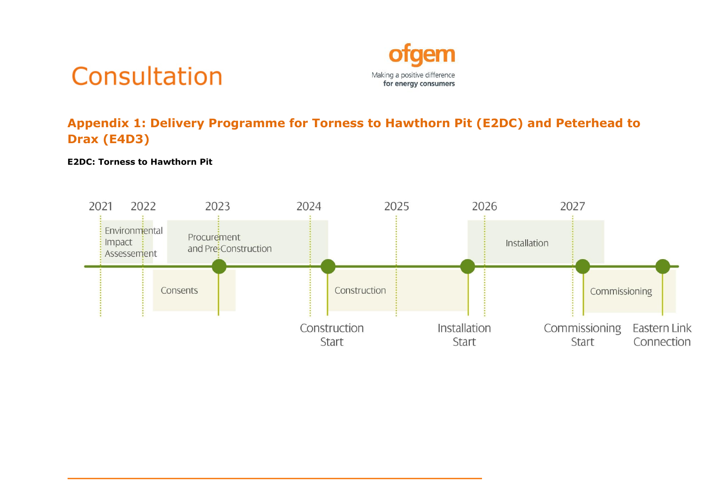



# **Appendix 1: Delivery Programme for Torness to Hawthorn Pit (E2DC) and Peterhead to Drax (E4D3)**

#### **E2DC: Torness to Hawthorn Pit**

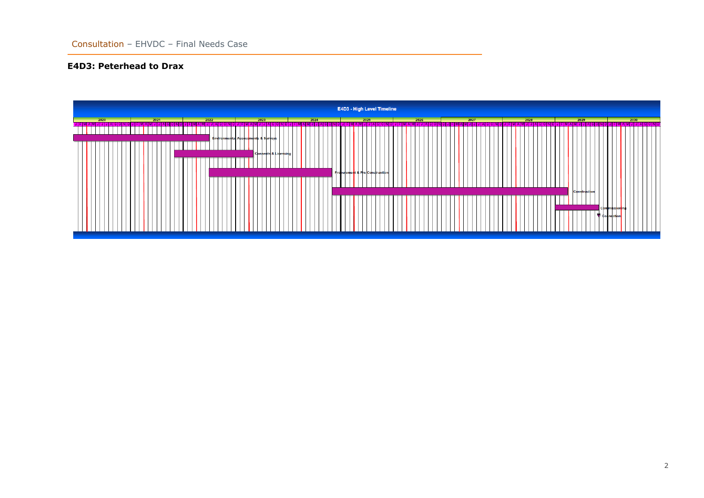#### **E4D3: Peterhead to Drax**

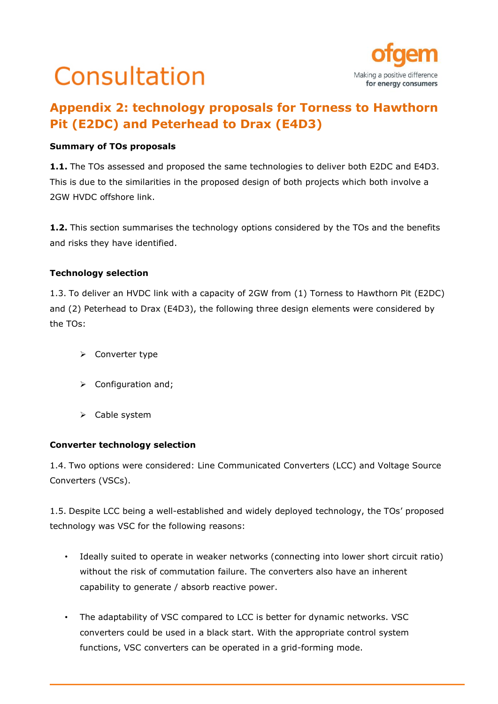# Consultation



# **Appendix 2: technology proposals for Torness to Hawthorn Pit (E2DC) and Peterhead to Drax (E4D3)**

#### **Summary of TOs proposals**

**1.1.** The TOs assessed and proposed the same technologies to deliver both E2DC and E4D3. This is due to the similarities in the proposed design of both projects which both involve a 2GW HVDC offshore link.

**1.2.** This section summarises the technology options considered by the TOs and the benefits and risks they have identified.

#### **Technology selection**

1.3. To deliver an HVDC link with a capacity of 2GW from (1) Torness to Hawthorn Pit (E2DC) and (2) Peterhead to Drax (E4D3), the following three design elements were considered by the TOs:

- ➢ Converter type
- ➢ Configuration and;
- ➢ Cable system

#### **Converter technology selection**

1.4. Two options were considered: Line Communicated Converters (LCC) and Voltage Source Converters (VSCs).

1.5. Despite LCC being a well-established and widely deployed technology, the TOs' proposed technology was VSC for the following reasons:

- Ideally suited to operate in weaker networks (connecting into lower short circuit ratio) without the risk of commutation failure. The converters also have an inherent capability to generate / absorb reactive power.
- The adaptability of VSC compared to LCC is better for dynamic networks. VSC converters could be used in a black start. With the appropriate control system functions, VSC converters can be operated in a grid-forming mode.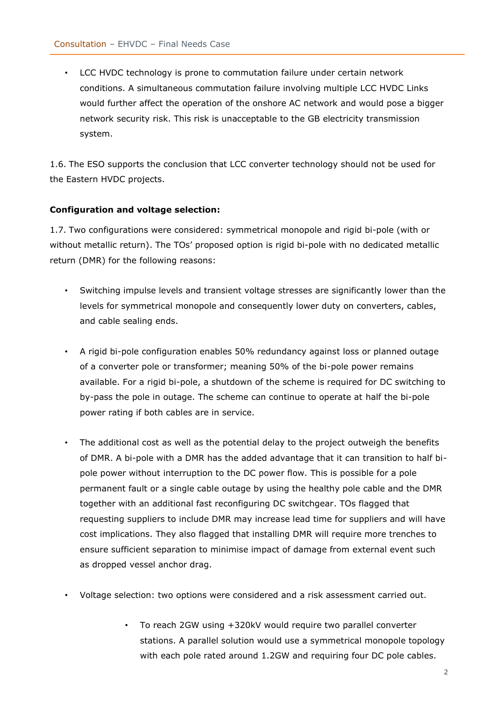• LCC HVDC technology is prone to commutation failure under certain network conditions. A simultaneous commutation failure involving multiple LCC HVDC Links would further affect the operation of the onshore AC network and would pose a bigger network security risk. This risk is unacceptable to the GB electricity transmission system.

1.6. The ESO supports the conclusion that LCC converter technology should not be used for the Eastern HVDC projects.

#### **Configuration and voltage selection:**

1.7. Two configurations were considered: symmetrical monopole and rigid bi-pole (with or without metallic return). The TOs' proposed option is rigid bi-pole with no dedicated metallic return (DMR) for the following reasons:

- Switching impulse levels and transient voltage stresses are significantly lower than the levels for symmetrical monopole and consequently lower duty on converters, cables, and cable sealing ends.
- A rigid bi-pole configuration enables 50% redundancy against loss or planned outage of a converter pole or transformer; meaning 50% of the bi-pole power remains available. For a rigid bi-pole, a shutdown of the scheme is required for DC switching to by-pass the pole in outage. The scheme can continue to operate at half the bi-pole power rating if both cables are in service.
- The additional cost as well as the potential delay to the project outweigh the benefits of DMR. A bi-pole with a DMR has the added advantage that it can transition to half bipole power without interruption to the DC power flow. This is possible for a pole permanent fault or a single cable outage by using the healthy pole cable and the DMR together with an additional fast reconfiguring DC switchgear. TOs flagged that requesting suppliers to include DMR may increase lead time for suppliers and will have cost implications. They also flagged that installing DMR will require more trenches to ensure sufficient separation to minimise impact of damage from external event such as dropped vessel anchor drag.
- Voltage selection: two options were considered and a risk assessment carried out.
	- To reach 2GW using +320kV would require two parallel converter stations. A parallel solution would use a symmetrical monopole topology with each pole rated around 1.2GW and requiring four DC pole cables.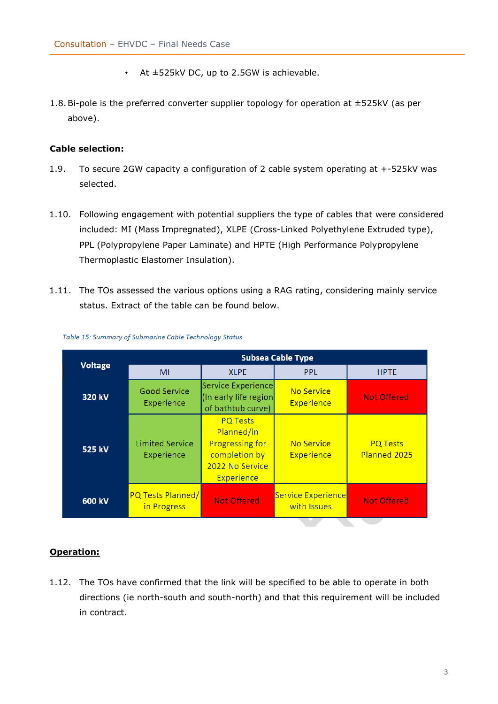- At  $\pm$ 525kV DC, up to 2.5GW is achievable.
- 1.8.Bi-pole is the preferred converter supplier topology for operation at ±525kV (as per above).

#### **Cable selection:**

- 1.9. To secure 2GW capacity a configuration of 2 cable system operating at +-525kV was selected.
- 1.10. Following engagement with potential suppliers the type of cables that were considered included: MI (Mass Impregnated), XLPE (Cross-Linked Polyethylene Extruded type), PPL (Polypropylene Paper Laminate) and HPTE (High Performance Polypropylene Thermoplastic Elastomer Insulation).
- 1.11. The TOs assessed the various options using a RAG rating, considering mainly service status. Extract of the table can be found below.

| <b>Voltage</b> | <b>Subsea Cable Type</b>                |                                                                                                                  |                                   |                                 |  |  |  |
|----------------|-----------------------------------------|------------------------------------------------------------------------------------------------------------------|-----------------------------------|---------------------------------|--|--|--|
|                | MI                                      | <b>XLPE</b>                                                                                                      | <b>PPL</b>                        | <b>HPTE</b>                     |  |  |  |
| 320 kV         | <b>Good Service</b><br>Experience       | Service Experience<br>(In early life region<br>of bathtub curve)                                                 | No Service<br>Experience          | <b>Not Offered</b>              |  |  |  |
| 525 kV         | <b>Limited Service</b><br>Experience    | <b>PQ Tests</b><br>Planned/in<br><b>Progressing for</b><br>completion by<br>2022 No Service<br><b>Experience</b> | No Service<br>Experience          | <b>PQ Tests</b><br>Planned 2025 |  |  |  |
| 600 kV         | <b>PQ Tests Planned/</b><br>in Progress | <b>Not Offered</b>                                                                                               | Service Experience<br>with Issues | <b>Not Offered</b>              |  |  |  |

#### Table 15: Summary of Submarine Cable Technology Status

#### **Operation:**

1.12. The TOs have confirmed that the link will be specified to be able to operate in both directions (ie north-south and south-north) and that this requirement will be included in contract.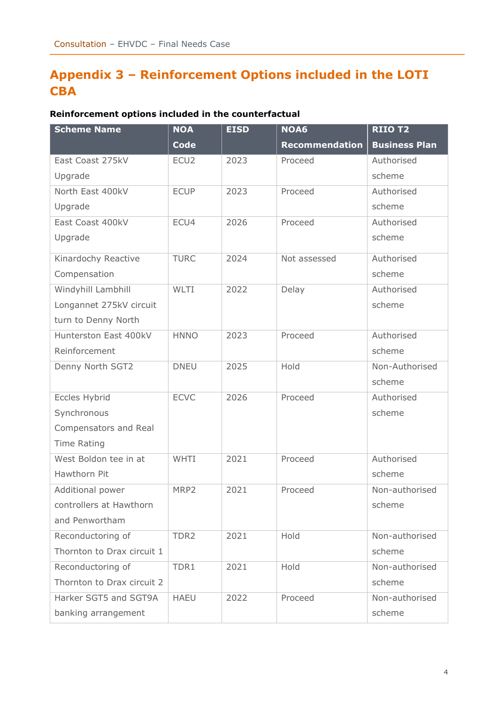# **Appendix 3 – Reinforcement Options included in the LOTI CBA**

### **Reinforcement options included in the counterfactual**

| <b>Scheme Name</b>         | <b>NOA</b>       | <b>EISD</b> | NOA6                  | <b>RIIO T2</b>       |
|----------------------------|------------------|-------------|-----------------------|----------------------|
|                            | <b>Code</b>      |             | <b>Recommendation</b> | <b>Business Plan</b> |
| East Coast 275kV           | ECU <sub>2</sub> | 2023        | Proceed               | Authorised           |
| Upgrade                    |                  |             |                       | scheme               |
| North East 400kV           | <b>ECUP</b>      | 2023        | Proceed               | Authorised           |
| Upgrade                    |                  |             |                       | scheme               |
| East Coast 400kV           | ECU4             | 2026        | Proceed               | Authorised           |
| Upgrade                    |                  |             |                       | scheme               |
| Kinardochy Reactive        | <b>TURC</b>      | 2024        | Not assessed          | Authorised           |
| Compensation               |                  |             |                       | scheme               |
| Windyhill Lambhill         | WLTI             | 2022        | Delay                 | Authorised           |
| Longannet 275kV circuit    |                  |             |                       | scheme               |
| turn to Denny North        |                  |             |                       |                      |
| Hunterston East 400kV      | <b>HNNO</b>      | 2023        | Proceed               | Authorised           |
| Reinforcement              |                  |             |                       | scheme               |
| Denny North SGT2           | <b>DNEU</b>      | 2025        | Hold                  | Non-Authorised       |
|                            |                  |             |                       | scheme               |
| Eccles Hybrid              | <b>ECVC</b>      | 2026        | Proceed               | Authorised           |
| Synchronous                |                  |             |                       | scheme               |
| Compensators and Real      |                  |             |                       |                      |
| <b>Time Rating</b>         |                  |             |                       |                      |
| West Boldon tee in at      | WHTI             | 2021        | Proceed               | Authorised           |
| Hawthorn Pit               |                  |             |                       | scheme               |
| Additional power           | MRP2             | 2021        | Proceed               | Non-authorised       |
| controllers at Hawthorn    |                  |             |                       | scheme               |
| and Penwortham             |                  |             |                       |                      |
| Reconductoring of          | TDR2             | 2021        | Hold                  | Non-authorised       |
| Thornton to Drax circuit 1 |                  |             |                       | scheme               |
| Reconductoring of          | TDR1             | 2021        | Hold                  | Non-authorised       |
| Thornton to Drax circuit 2 |                  |             |                       | scheme               |
| Harker SGT5 and SGT9A      | <b>HAEU</b>      | 2022        | Proceed               | Non-authorised       |
| banking arrangement        |                  |             |                       | scheme               |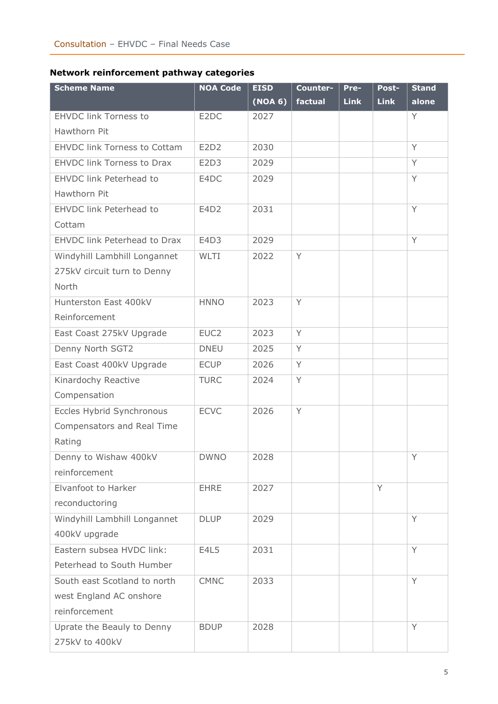### **Network reinforcement pathway categories**

| <b>Scheme Name</b>                  | <b>NOA Code</b>   | <b>EISD</b> | Counter- | Pre-        | Post-       | <b>Stand</b> |
|-------------------------------------|-------------------|-------------|----------|-------------|-------------|--------------|
|                                     |                   | (NOA 6)     | factual  | <b>Link</b> | <b>Link</b> | alone        |
| <b>EHVDC link Torness to</b>        | E <sub>2</sub> DC | 2027        |          |             |             | Y            |
| Hawthorn Pit                        |                   |             |          |             |             |              |
| <b>EHVDC link Torness to Cottam</b> | E2D2              | 2030        |          |             |             | Y            |
| <b>EHVDC link Torness to Drax</b>   | E2D3              | 2029        |          |             |             | Y            |
| EHVDC link Peterhead to             | E4DC              | 2029        |          |             |             | Y            |
| Hawthorn Pit                        |                   |             |          |             |             |              |
| EHVDC link Peterhead to             | E4D2              | 2031        |          |             |             | Y            |
| Cottam                              |                   |             |          |             |             |              |
| EHVDC link Peterhead to Drax        | E4D3              | 2029        |          |             |             | Y            |
| Windyhill Lambhill Longannet        | WLTI              | 2022        | Y        |             |             |              |
| 275kV circuit turn to Denny         |                   |             |          |             |             |              |
| North                               |                   |             |          |             |             |              |
| Hunterston East 400kV               | <b>HNNO</b>       | 2023        | Y        |             |             |              |
| Reinforcement                       |                   |             |          |             |             |              |
| East Coast 275kV Upgrade            | EUC <sub>2</sub>  | 2023        | Y        |             |             |              |
| Denny North SGT2                    | <b>DNEU</b>       | 2025        | Y        |             |             |              |
| East Coast 400kV Upgrade            | <b>ECUP</b>       | 2026        | Y        |             |             |              |
| Kinardochy Reactive                 | <b>TURC</b>       | 2024        | Y        |             |             |              |
| Compensation                        |                   |             |          |             |             |              |
| Eccles Hybrid Synchronous           | <b>ECVC</b>       | 2026        | Y        |             |             |              |
| Compensators and Real Time          |                   |             |          |             |             |              |
| Rating                              |                   |             |          |             |             |              |
| Denny to Wishaw 400kV               | <b>DWNO</b>       | 2028        |          |             |             | Y            |
| reinforcement                       |                   |             |          |             |             |              |
| Elvanfoot to Harker                 | <b>EHRE</b>       | 2027        |          |             | Y           |              |
| reconductoring                      |                   |             |          |             |             |              |
| Windyhill Lambhill Longannet        | <b>DLUP</b>       | 2029        |          |             |             | Y            |
| 400kV upgrade                       |                   |             |          |             |             |              |
| Eastern subsea HVDC link:           | E4L5              | 2031        |          |             |             | Y            |
| Peterhead to South Humber           |                   |             |          |             |             |              |
| South east Scotland to north        | <b>CMNC</b>       | 2033        |          |             |             | Y            |
| west England AC onshore             |                   |             |          |             |             |              |
| reinforcement                       |                   |             |          |             |             |              |
| Uprate the Beauly to Denny          | <b>BDUP</b>       | 2028        |          |             |             | Y            |
| 275kV to 400kV                      |                   |             |          |             |             |              |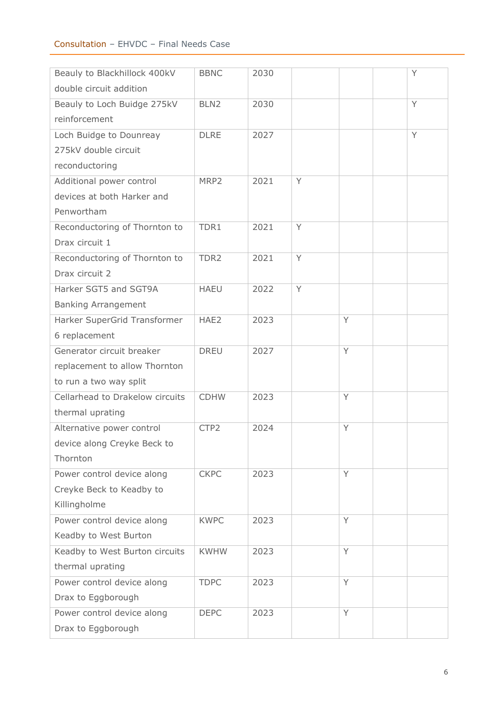#### Consultation – EHVDC – Final Needs Case

| Beauly to Blackhillock 400kV    | <b>BBNC</b>      | 2030 |   |   | Y |
|---------------------------------|------------------|------|---|---|---|
| double circuit addition         |                  |      |   |   |   |
| Beauly to Loch Buidge 275kV     | BLN <sub>2</sub> | 2030 |   |   | Y |
| reinforcement                   |                  |      |   |   |   |
| Loch Buidge to Dounreay         | <b>DLRE</b>      | 2027 |   |   | Y |
| 275kV double circuit            |                  |      |   |   |   |
| reconductoring                  |                  |      |   |   |   |
| Additional power control        | MRP2             | 2021 | Y |   |   |
| devices at both Harker and      |                  |      |   |   |   |
| Penwortham                      |                  |      |   |   |   |
| Reconductoring of Thornton to   | TDR1             | 2021 | Y |   |   |
| Drax circuit 1                  |                  |      |   |   |   |
| Reconductoring of Thornton to   | TDR <sub>2</sub> | 2021 | Y |   |   |
| Drax circuit 2                  |                  |      |   |   |   |
| Harker SGT5 and SGT9A           | <b>HAEU</b>      | 2022 | Y |   |   |
| <b>Banking Arrangement</b>      |                  |      |   |   |   |
| Harker SuperGrid Transformer    | HAE2             | 2023 |   | Y |   |
| 6 replacement                   |                  |      |   |   |   |
| Generator circuit breaker       | <b>DREU</b>      | 2027 |   | Y |   |
| replacement to allow Thornton   |                  |      |   |   |   |
| to run a two way split          |                  |      |   |   |   |
| Cellarhead to Drakelow circuits | <b>CDHW</b>      | 2023 |   | Y |   |
| thermal uprating                |                  |      |   |   |   |
| Alternative power control       | CTP2             | 2024 |   | Y |   |
| device along Creyke Beck to     |                  |      |   |   |   |
| Thornton                        |                  |      |   |   |   |
| Power control device along      | <b>CKPC</b>      | 2023 |   | Y |   |
| Creyke Beck to Keadby to        |                  |      |   |   |   |
| Killingholme                    |                  |      |   |   |   |
| Power control device along      | <b>KWPC</b>      | 2023 |   | Y |   |
| Keadby to West Burton           |                  |      |   |   |   |
| Keadby to West Burton circuits  | <b>KWHW</b>      | 2023 |   | Y |   |
| thermal uprating                |                  |      |   |   |   |
| Power control device along      | <b>TDPC</b>      | 2023 |   | Y |   |
| Drax to Eggborough              |                  |      |   |   |   |
| Power control device along      | <b>DEPC</b>      | 2023 |   | Y |   |
| Drax to Eggborough              |                  |      |   |   |   |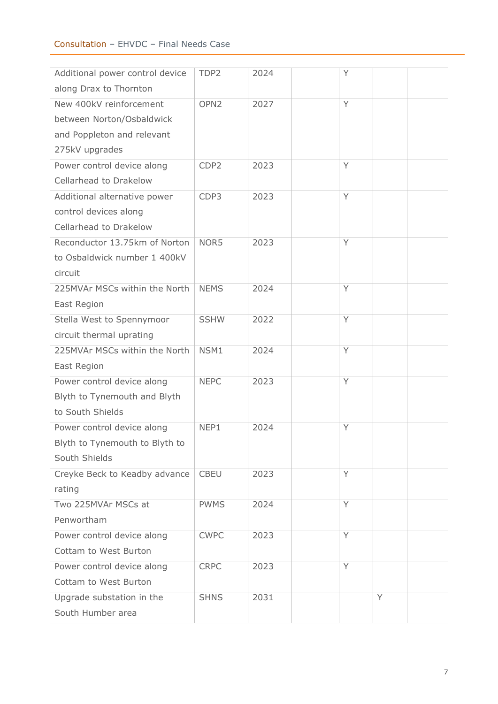#### Consultation – EHVDC – Final Needs Case

| Additional power control device | TDP2             | 2024 | Y |   |  |
|---------------------------------|------------------|------|---|---|--|
| along Drax to Thornton          |                  |      |   |   |  |
| New 400kV reinforcement         | OPN <sub>2</sub> | 2027 | Y |   |  |
| between Norton/Osbaldwick       |                  |      |   |   |  |
| and Poppleton and relevant      |                  |      |   |   |  |
| 275kV upgrades                  |                  |      |   |   |  |
| Power control device along      | CDP <sub>2</sub> | 2023 | Y |   |  |
| Cellarhead to Drakelow          |                  |      |   |   |  |
| Additional alternative power    | CDP3             | 2023 | Y |   |  |
| control devices along           |                  |      |   |   |  |
| Cellarhead to Drakelow          |                  |      |   |   |  |
| Reconductor 13.75km of Norton   | NOR5             | 2023 | Y |   |  |
| to Osbaldwick number 1 400kV    |                  |      |   |   |  |
| circuit                         |                  |      |   |   |  |
| 225MVAr MSCs within the North   | <b>NEMS</b>      | 2024 | Y |   |  |
| East Region                     |                  |      |   |   |  |
| Stella West to Spennymoor       | <b>SSHW</b>      | 2022 | Y |   |  |
| circuit thermal uprating        |                  |      |   |   |  |
| 225MVAr MSCs within the North   | NSM1             | 2024 | Y |   |  |
| East Region                     |                  |      |   |   |  |
| Power control device along      | <b>NEPC</b>      | 2023 | Y |   |  |
| Blyth to Tynemouth and Blyth    |                  |      |   |   |  |
| to South Shields                |                  |      |   |   |  |
| Power control device along      | NEP1             | 2024 | Υ |   |  |
| Blyth to Tynemouth to Blyth to  |                  |      |   |   |  |
| South Shields                   |                  |      |   |   |  |
| Creyke Beck to Keadby advance   | <b>CBEU</b>      | 2023 | Y |   |  |
| rating                          |                  |      |   |   |  |
| Two 225MVAr MSCs at             | <b>PWMS</b>      | 2024 | Y |   |  |
| Penwortham                      |                  |      |   |   |  |
| Power control device along      | <b>CWPC</b>      | 2023 | Y |   |  |
| Cottam to West Burton           |                  |      |   |   |  |
| Power control device along      | <b>CRPC</b>      | 2023 | Y |   |  |
| Cottam to West Burton           |                  |      |   |   |  |
| Upgrade substation in the       | <b>SHNS</b>      | 2031 |   | Y |  |
| South Humber area               |                  |      |   |   |  |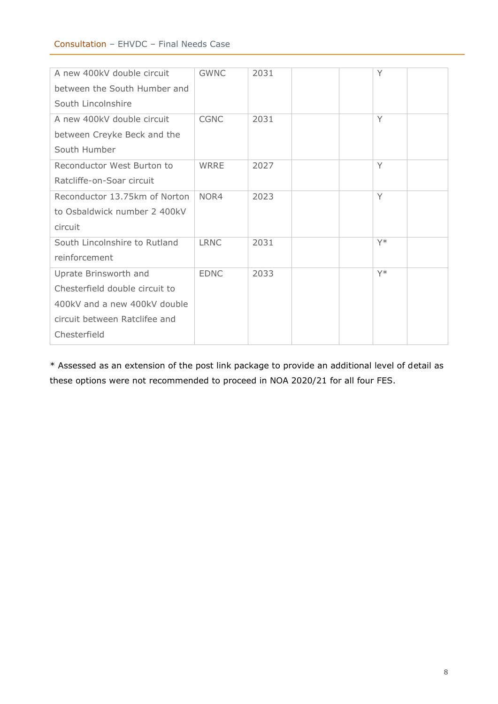#### Consultation – EHVDC – Final Needs Case

| A new 400kV double circuit     | <b>GWNC</b> | 2031 | Y     |  |
|--------------------------------|-------------|------|-------|--|
| between the South Humber and   |             |      |       |  |
| South Lincolnshire             |             |      |       |  |
| A new 400kV double circuit     | <b>CGNC</b> | 2031 | Y     |  |
| between Creyke Beck and the    |             |      |       |  |
| South Humber                   |             |      |       |  |
| Reconductor West Burton to     | WRRE        | 2027 | Y     |  |
| Ratcliffe-on-Soar circuit      |             |      |       |  |
| Reconductor 13.75km of Norton  | NOR4        | 2023 | Y     |  |
| to Osbaldwick number 2 400kV   |             |      |       |  |
| circuit                        |             |      |       |  |
| South Lincolnshire to Rutland  | <b>LRNC</b> | 2031 | $Y^*$ |  |
| reinforcement                  |             |      |       |  |
| Uprate Brinsworth and          | <b>EDNC</b> | 2033 | $Y^*$ |  |
| Chesterfield double circuit to |             |      |       |  |
| 400kV and a new 400kV double   |             |      |       |  |
| circuit between Ratclifee and  |             |      |       |  |
| Chesterfield                   |             |      |       |  |

\* Assessed as an extension of the post link package to provide an additional level of detail as these options were not recommended to proceed in NOA 2020/21 for all four FES.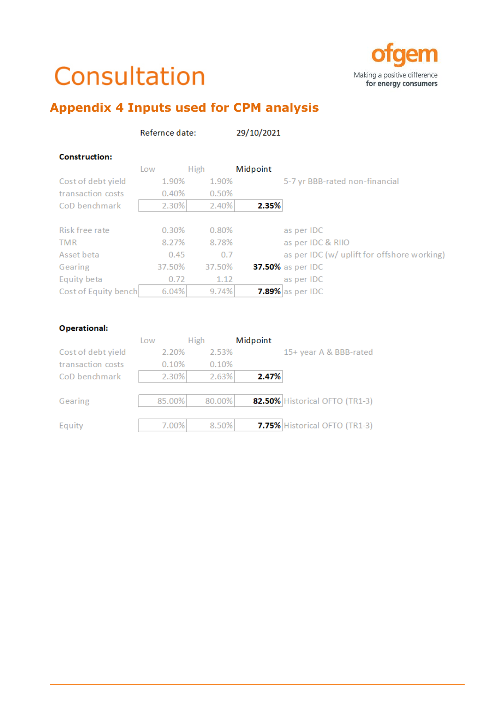# Consultation



# **Appendix 4 Inputs used for CPM analysis**

|                      | Refernce date: |             | 29/10/2021 |                                             |
|----------------------|----------------|-------------|------------|---------------------------------------------|
| <b>Construction:</b> |                |             |            |                                             |
|                      | Low            | <b>High</b> | Midpoint   |                                             |
| Cost of debt yield   | 1.90%          | 1.90%       |            | 5-7 yr BBB-rated non-financial              |
| transaction costs    | 0.40%          | 0.50%       |            |                                             |
| CoD benchmark        | 2.30%          | 2.40%       | 2.35%      |                                             |
|                      |                |             |            |                                             |
| Risk free rate       | 0.30%          | 0.80%       |            | as per IDC                                  |
| <b>TMR</b>           | 8.27%          | 8.78%       |            | as per IDC & RIIO                           |
| Asset beta           | 0.45           | 0.7         |            | as per IDC (w/ uplift for offshore working) |
| Gearing              | 37.50%         | 37.50%      |            | 37.50% as per IDC                           |
| Equity beta          | 0.72           | 1.12        |            | as per IDC                                  |
| Cost of Equity bench | 6.04%          | 9.74%       |            | $7.89\%$ as per IDC                         |

#### Operational:

|                    | Low    | <b>High</b> | Midpoint |                                |
|--------------------|--------|-------------|----------|--------------------------------|
| Cost of debt yield | 2.20%  | 2.53%       |          | 15+ year A & BBB-rated         |
| transaction costs  | 0.10%  | 0.10%       |          |                                |
| CoD benchmark      | 2.30%  | 2.63%       | 2.47%    |                                |
|                    |        |             |          |                                |
| Gearing            | 85.00% | 80.00%      |          | 82.50% Historical OFTO (TR1-3) |
|                    |        |             |          |                                |
| Equity             | 7.00%  | 8.50%       |          | 7.75% Historical OFTO (TR1-3)  |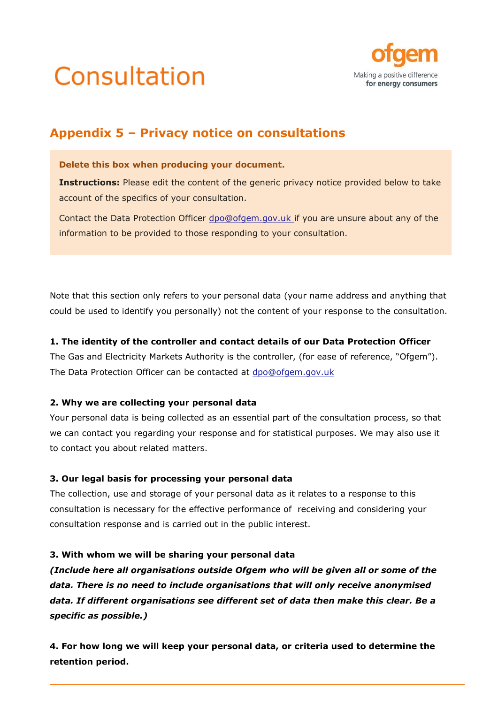



# **Appendix 5 – Privacy notice on consultations**

#### **Delete this box when producing your document.**

**Instructions:** Please edit the content of the generic privacy notice provided below to take account of the specifics of your consultation.

Contact the Data Protection Officer [dpo@ofgem.gov.uk](mailto:dpo@ofgem.gov.uk) if you are unsure about any of the information to be provided to those responding to your consultation.

Note that this section only refers to your personal data (your name address and anything that could be used to identify you personally) not the content of your response to the consultation.

#### **1. The identity of the controller and contact details of our Data Protection Officer**

The Gas and Electricity Markets Authority is the controller, (for ease of reference, "Ofgem"). The Data Protection Officer can be contacted at [dpo@ofgem.gov.uk](mailto:dpo@ofgem.gov.uk)

#### **2. Why we are collecting your personal data**

Your personal data is being collected as an essential part of the consultation process, so that we can contact you regarding your response and for statistical purposes. We may also use it to contact you about related matters.

#### **3. Our legal basis for processing your personal data**

The collection, use and storage of your personal data as it relates to a response to this consultation is necessary for the effective performance of receiving and considering your consultation response and is carried out in the public interest.

#### **3. With whom we will be sharing your personal data**

*(Include here all organisations outside Ofgem who will be given all or some of the data. There is no need to include organisations that will only receive anonymised data. If different organisations see different set of data then make this clear. Be a specific as possible.)*

**4. For how long we will keep your personal data, or criteria used to determine the retention period.**